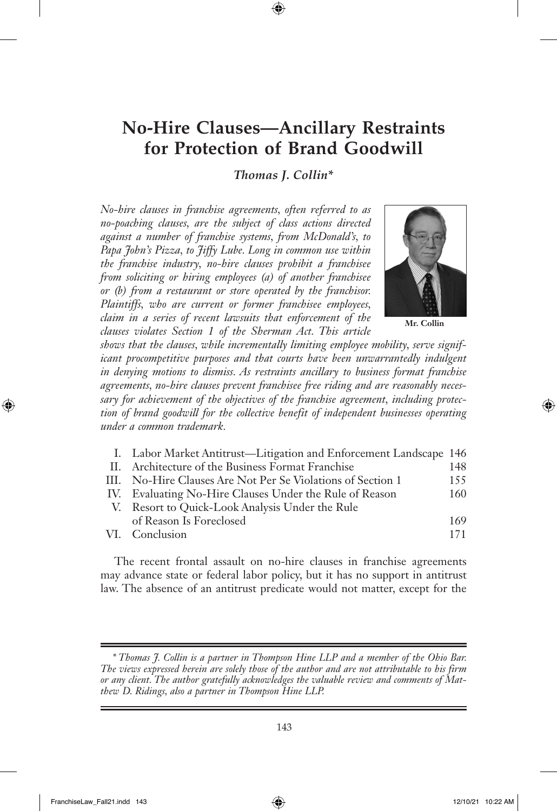# **No-Hire Clauses—Ancillary Restraints for Protection of Brand Goodwill**

*Thomas J. Collin\**

*No-hire clauses in franchise agreements, often referred to as no-poaching clauses, are the subject of class actions directed against a number of franchise systems, from McDonald's, to Papa John's Pizza, to Jiffy Lube. Long in common use within the franchise industry, no-hire clauses prohibit a franchisee from soliciting or hiring employees (a) of another franchisee or (b) from a restaurant or store operated by the franchisor. Plaintiffs, who are current or former franchisee employees, claim in a series of recent lawsuits that enforcement of the clauses violates Section 1 of the Sherman Act. This article* 



**Mr. Collin**

*shows that the clauses, while incrementally limiting employee mobility, serve significant procompetitive purposes and that courts have been unwarrantedly indulgent in denying motions to dismiss. As restraints ancillary to business format franchise agreements, no-hire clauses prevent franchisee free riding and are reasonably necessary for achievement of the objectives of the franchise agreement, including protection of brand goodwill for the collective benefit of independent businesses operating under a common trademark.* 

| I. Labor Market Antitrust—Litigation and Enforcement Landscape 146 |     |
|--------------------------------------------------------------------|-----|
| II. Architecture of the Business Format Franchise                  | 148 |
| III. No-Hire Clauses Are Not Per Se Violations of Section 1        | 155 |
| IV. Evaluating No-Hire Clauses Under the Rule of Reason            | 160 |
| V. Resort to Quick-Look Analysis Under the Rule                    |     |
| of Reason Is Foreclosed                                            | 169 |
| VI. Conclusion                                                     | 171 |
|                                                                    |     |

The recent frontal assault on no-hire clauses in franchise agreements may advance state or federal labor policy, but it has no support in antitrust law. The absence of an antitrust predicate would not matter, except for the

*<sup>\*</sup> Thomas J. Collin is a partner in Thompson Hine LLP and a member of the Ohio Bar. The views expressed herein are solely those of the author and are not attributable to his firm or any client. The author gratefully acknowledges the valuable review and comments of Matthew D. Ridings, also a partner in Thompson Hine LLP.*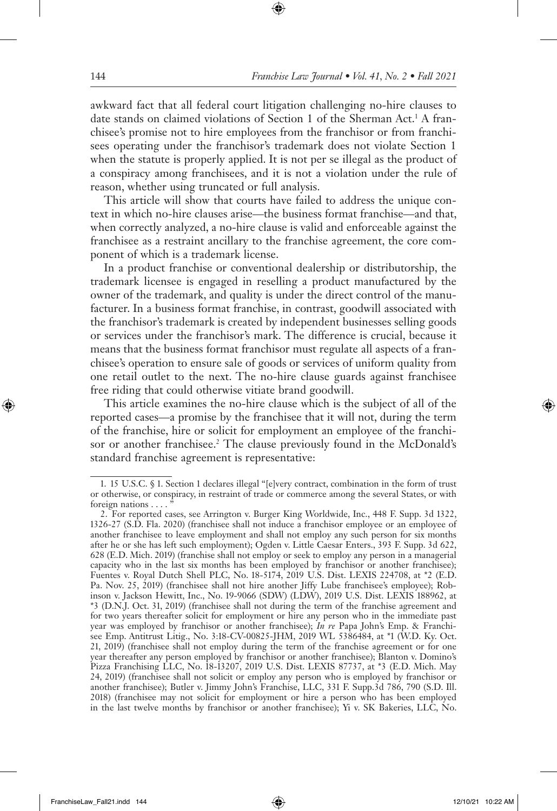awkward fact that all federal court litigation challenging no-hire clauses to date stands on claimed violations of Section 1 of the Sherman Act.<sup>1</sup> A franchisee's promise not to hire employees from the franchisor or from franchisees operating under the franchisor's trademark does not violate Section 1 when the statute is properly applied. It is not per se illegal as the product of a conspiracy among franchisees, and it is not a violation under the rule of reason, whether using truncated or full analysis.

This article will show that courts have failed to address the unique context in which no-hire clauses arise—the business format franchise—and that, when correctly analyzed, a no-hire clause is valid and enforceable against the franchisee as a restraint ancillary to the franchise agreement, the core component of which is a trademark license.

In a product franchise or conventional dealership or distributorship, the trademark licensee is engaged in reselling a product manufactured by the owner of the trademark, and quality is under the direct control of the manufacturer. In a business format franchise, in contrast, goodwill associated with the franchisor's trademark is created by independent businesses selling goods or services under the franchisor's mark. The difference is crucial, because it means that the business format franchisor must regulate all aspects of a franchisee's operation to ensure sale of goods or services of uniform quality from one retail outlet to the next. The no-hire clause guards against franchisee free riding that could otherwise vitiate brand goodwill.

This article examines the no-hire clause which is the subject of all of the reported cases—a promise by the franchisee that it will not, during the term of the franchise, hire or solicit for employment an employee of the franchisor or another franchisee.<sup>2</sup> The clause previously found in the McDonald's standard franchise agreement is representative:

<sup>1.</sup> 15 U.S.C. § 1. Section 1 declares illegal "[e]very contract, combination in the form of trust or otherwise, or conspiracy, in restraint of trade or commerce among the several States, or with foreign nations . . . . "

<sup>2.</sup> For reported cases, see Arrington v. Burger King Worldwide, Inc., 448 F. Supp. 3d 1322, 1326-27 (S.D. Fla. 2020) (franchisee shall not induce a franchisor employee or an employee of another franchisee to leave employment and shall not employ any such person for six months after he or she has left such employment); Ogden v. Little Caesar Enters., 393 F. Supp. 3d 622, 628 (E.D. Mich. 2019) (franchise shall not employ or seek to employ any person in a managerial capacity who in the last six months has been employed by franchisor or another franchisee); Fuentes v. Royal Dutch Shell PLC, No. 18-5174, 2019 U.S. Dist. LEXIS 224708, at \*2 (E.D. Pa. Nov. 25, 2019) (franchisee shall not hire another Jiffy Lube franchisee's employee); Robinson v. Jackson Hewitt, Inc., No. 19-9066 (SDW) (LDW), 2019 U.S. Dist. LEXIS 188962, at \*3 (D.N.J. Oct. 31, 2019) (franchisee shall not during the term of the franchise agreement and for two years thereafter solicit for employment or hire any person who in the immediate past year was employed by franchisor or another franchisee); *In re* Papa John's Emp. & Franchisee Emp. Antitrust Litig., No. 3:18-CV-00825-JHM, 2019 WL 5386484, at \*1 (W.D. Ky. Oct. 21, 2019) (franchisee shall not employ during the term of the franchise agreement or for one year thereafter any person employed by franchisor or another franchisee); Blanton v. Domino's Pizza Franchising LLC, No. 18-13207, 2019 U.S. Dist. LEXIS 87737, at \*3 (E.D. Mich. May 24, 2019) (franchisee shall not solicit or employ any person who is employed by franchisor or another franchisee); Butler v. Jimmy John's Franchise, LLC, 331 F. Supp.3d 786, 790 (S.D. Ill. 2018) (franchisee may not solicit for employment or hire a person who has been employed in the last twelve months by franchisor or another franchisee); Yi v. SK Bakeries, LLC, No.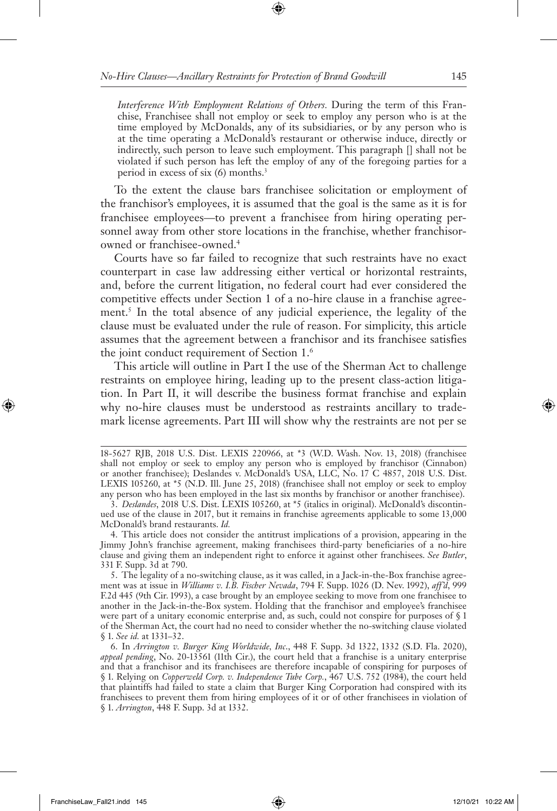*Interference With Employment Relations of Others.* During the term of this Franchise, Franchisee shall not employ or seek to employ any person who is at the time employed by McDonalds, any of its subsidiaries, or by any person who is at the time operating a McDonald's restaurant or otherwise induce, directly or indirectly, such person to leave such employment. This paragraph [] shall not be violated if such person has left the employ of any of the foregoing parties for a period in excess of six (6) months.3

To the extent the clause bars franchisee solicitation or employment of the franchisor's employees, it is assumed that the goal is the same as it is for franchisee employees—to prevent a franchisee from hiring operating personnel away from other store locations in the franchise, whether franchisorowned or franchisee-owned.4

Courts have so far failed to recognize that such restraints have no exact counterpart in case law addressing either vertical or horizontal restraints, and, before the current litigation, no federal court had ever considered the competitive effects under Section 1 of a no-hire clause in a franchise agreement.<sup>5</sup> In the total absence of any judicial experience, the legality of the clause must be evaluated under the rule of reason. For simplicity, this article assumes that the agreement between a franchisor and its franchisee satisfies the joint conduct requirement of Section 1.6

This article will outline in Part I the use of the Sherman Act to challenge restraints on employee hiring, leading up to the present class-action litigation. In Part II, it will describe the business format franchise and explain why no-hire clauses must be understood as restraints ancillary to trademark license agreements. Part III will show why the restraints are not per se

<sup>18-5627</sup> RJB, 2018 U.S. Dist. LEXIS 220966, at \*3 (W.D. Wash. Nov. 13, 2018) (franchisee shall not employ or seek to employ any person who is employed by franchisor (Cinnabon) or another franchisee); Deslandes v. McDonald's USA, LLC, No. 17 C 4857, 2018 U.S. Dist. LEXIS 105260, at \*5 (N.D. Ill. June 25, 2018) (franchisee shall not employ or seek to employ any person who has been employed in the last six months by franchisor or another franchisee).

<sup>3.</sup> *Deslandes*, 2018 U.S. Dist. LEXIS 105260, at \*5 (italics in original). McDonald's discontinued use of the clause in 2017, but it remains in franchise agreements applicable to some 13,000 McDonald's brand restaurants. *Id.* 

<sup>4.</sup> This article does not consider the antitrust implications of a provision, appearing in the Jimmy John's franchise agreement, making franchisees third-party beneficiaries of a no-hire clause and giving them an independent right to enforce it against other franchisees. *See Butler*, 331 F. Supp. 3d at 790.

<sup>5.</sup> The legality of a no-switching clause, as it was called, in a Jack-in-the-Box franchise agreement was at issue in *Williams v. I.B. Fischer Nevada*, 794 F. Supp. 1026 (D. Nev. 1992), *aff'd*, 999 F.2d 445 (9th Cir. 1993), a case brought by an employee seeking to move from one franchisee to another in the Jack-in-the-Box system. Holding that the franchisor and employee's franchisee were part of a unitary economic enterprise and, as such, could not conspire for purposes of § 1 of the Sherman Act, the court had no need to consider whether the no-switching clause violated § 1. *See id.* at 1331–32.

<sup>6.</sup> In *Arrington v. Burger King Worldwide, Inc*., 448 F. Supp. 3d 1322, 1332 (S.D. Fla. 2020), *appeal pending*, No. 20-13561 (11th Cir.), the court held that a franchise is a unitary enterprise and that a franchisor and its franchisees are therefore incapable of conspiring for purposes of § 1. Relying on *Copperweld Corp. v. Independence Tube Corp.*, 467 U.S. 752 (1984), the court held that plaintiffs had failed to state a claim that Burger King Corporation had conspired with its franchisees to prevent them from hiring employees of it or of other franchisees in violation of § 1. *Arrington*, 448 F. Supp. 3d at 1332.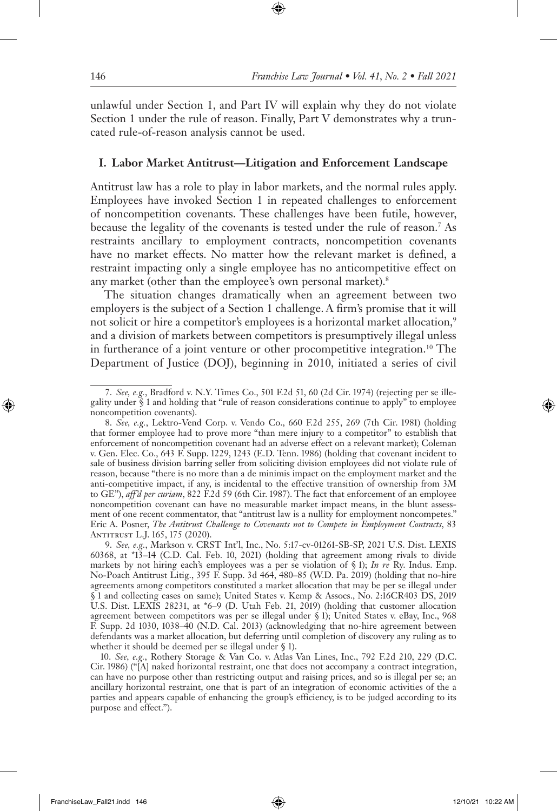unlawful under Section 1, and Part IV will explain why they do not violate Section 1 under the rule of reason. Finally, Part V demonstrates why a truncated rule-of-reason analysis cannot be used.

#### **I. Labor Market Antitrust—Litigation and Enforcement Landscape**

Antitrust law has a role to play in labor markets, and the normal rules apply. Employees have invoked Section 1 in repeated challenges to enforcement of noncompetition covenants. These challenges have been futile, however, because the legality of the covenants is tested under the rule of reason.7 As restraints ancillary to employment contracts, noncompetition covenants have no market effects. No matter how the relevant market is defined, a restraint impacting only a single employee has no anticompetitive effect on any market (other than the employee's own personal market).<sup>8</sup>

The situation changes dramatically when an agreement between two employers is the subject of a Section 1 challenge. A firm's promise that it will not solicit or hire a competitor's employees is a horizontal market allocation,<sup>9</sup> and a division of markets between competitors is presumptively illegal unless in furtherance of a joint venture or other procompetitive integration.<sup>10</sup> The Department of Justice (DOJ), beginning in 2010, initiated a series of civil

10. *See, e.g.*, Rothery Storage & Van Co. v. Atlas Van Lines, Inc., 792 F.2d 210, 229 (D.C. Cir. 1986) ("[A] naked horizontal restraint, one that does not accompany a contract integration, can have no purpose other than restricting output and raising prices, and so is illegal per se; an ancillary horizontal restraint, one that is part of an integration of economic activities of the a parties and appears capable of enhancing the group's efficiency, is to be judged according to its purpose and effect.").

<sup>7.</sup> *See, e.g.*, Bradford v. N.Y. Times Co., 501 F.2d 51, 60 (2d Cir. 1974) (rejecting per se illegality under § 1 and holding that "rule of reason considerations continue to apply" to employee noncompetition covenants).

<sup>8.</sup> *See, e.g.*, Lektro-Vend Corp. v. Vendo Co., 660 F.2d 255, 269 (7th Cir. 1981) (holding that former employee had to prove more "than mere injury to a competitor" to establish that enforcement of noncompetition covenant had an adverse effect on a relevant market); Coleman v. Gen. Elec. Co., 643 F. Supp. 1229, 1243 (E.D. Tenn. 1986) (holding that covenant incident to sale of business division barring seller from soliciting division employees did not violate rule of reason, because "there is no more than a de minimis impact on the employment market and the anti-competitive impact, if any, is incidental to the effective transition of ownership from 3M to GE"), *aff'd per curiam*, 822 F.2d 59 (6th Cir. 1987). The fact that enforcement of an employee noncompetition covenant can have no measurable market impact means, in the blunt assessment of one recent commentator, that "antitrust law is a nullity for employment noncompetes." Eric A. Posner, *The Antitrust Challenge to Covenants not to Compete in Employment Contracts*, 83 Antitrust L.J. 165, 175 (2020).

<sup>9.</sup> *See, e.g.*, Markson v. CRST Int'l, Inc., No. 5:17-cv-01261-SB-SP, 2021 U.S. Dist. LEXIS 60368, at \*13–14 (C.D. Cal. Feb. 10, 2021) (holding that agreement among rivals to divide markets by not hiring each's employees was a per se violation of § 1); *In re* Ry. Indus. Emp. No-Poach Antitrust Litig., 395 F. Supp. 3d 464, 480–85 (W.D. Pa. 2019) (holding that no-hire agreements among competitors constituted a market allocation that may be per se illegal under § 1 and collecting cases on same); United States v. Kemp & Assocs., No. 2:16CR403 DS, 2019 U.S. Dist. LEXIS 28231, at \*6–9 (D. Utah Feb. 21, 2019) (holding that customer allocation agreement between competitors was per se illegal under § 1); United States v. eBay, Inc., 968 F. Supp. 2d 1030, 1038–40 (N.D. Cal. 2013) (acknowledging that no-hire agreement between defendants was a market allocation, but deferring until completion of discovery any ruling as to whether it should be deemed per se illegal under § 1).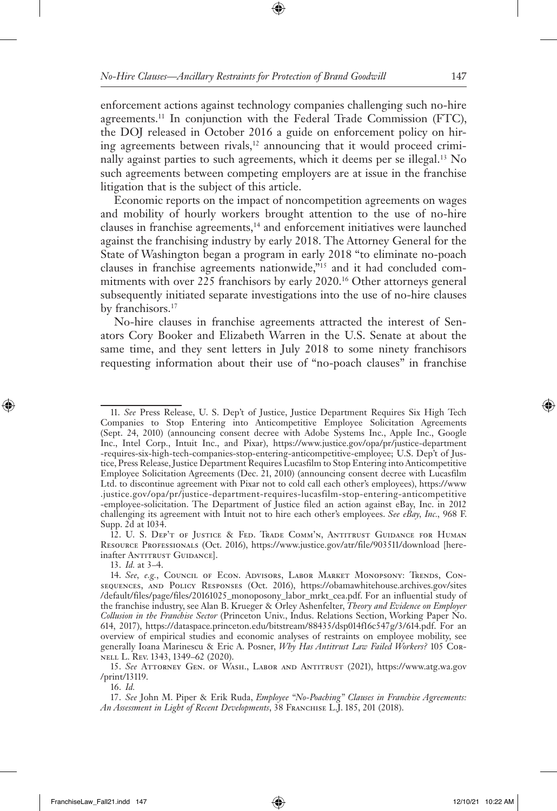enforcement actions against technology companies challenging such no-hire agreements.11 In conjunction with the Federal Trade Commission (FTC), the DOJ released in October 2016 a guide on enforcement policy on hiring agreements between rivals,<sup>12</sup> announcing that it would proceed criminally against parties to such agreements, which it deems per se illegal.<sup>13</sup> No such agreements between competing employers are at issue in the franchise litigation that is the subject of this article.

Economic reports on the impact of noncompetition agreements on wages and mobility of hourly workers brought attention to the use of no-hire clauses in franchise agreements,<sup>14</sup> and enforcement initiatives were launched against the franchising industry by early 2018. The Attorney General for the State of Washington began a program in early 2018 "to eliminate no-poach clauses in franchise agreements nationwide,"15 and it had concluded commitments with over 225 franchisors by early 2020.16 Other attorneys general subsequently initiated separate investigations into the use of no-hire clauses by franchisors.<sup>17</sup>

No-hire clauses in franchise agreements attracted the interest of Senators Cory Booker and Elizabeth Warren in the U.S. Senate at about the same time, and they sent letters in July 2018 to some ninety franchisors requesting information about their use of "no-poach clauses" in franchise

16. *Id.*

<sup>11.</sup> *See* Press Release, U. S. Dep't of Justice, Justice Department Requires Six High Tech Companies to Stop Entering into Anticompetitive Employee Solicitation Agreements (Sept. 24, 2010) (announcing consent decree with Adobe Systems Inc., Apple Inc., Google Inc., Intel Corp., Intuit Inc., and Pixar), https://www.justice.gov/opa/pr/justice-department -requires-six-high-tech-companies-stop-entering-anticompetitive-employee; U.S. Dep't of Justice, Press Release, Justice Department Requires Lucasfilm to Stop Entering into Anticompetitive Employee Solicitation Agreements (Dec. 21, 2010) (announcing consent decree with Lucasfilm Ltd. to discontinue agreement with Pixar not to cold call each other's employees), https://www .justice.gov/opa/pr/justice-department-requires-lucasfilm-stop-entering-anticompetitive -employee-solicitation. The Department of Justice filed an action against eBay, Inc. in 2012 challenging its agreement with Intuit not to hire each other's employees. *See eBay, Inc.,* 968 F. Supp. 2d at 1034.

<sup>12.</sup> U. S. Dep't of Justice & Fed. Trade Comm'n, Antitrust Guidance for Human Resource Professionals (Oct. 2016), https://www.justice.gov/atr/file/903511/download [hereinafter ANTITRUST GUIDANCE].

<sup>13.</sup> *Id.* at 3–4.

<sup>14.</sup> See, e.g., COUNCIL OF ECON. ADVISORS, LABOR MARKET MONOPSONY: TRENDS, CONsequences, and Policy Responses (Oct. 2016), https://obamawhitehouse.archives.gov/sites /default/files/page/files/20161025\_monoposony\_labor\_mrkt\_cea.pdf. For an influential study of the franchise industry, see Alan B. Krueger & Orley Ashenfelter, *Theory and Evidence on Employer Collusion in the Franchise Sector* (Princeton Univ., Indus. Relations Section, Working Paper No. 614, 2017), https://dataspace.princeton.edu/bitstream/88435/dsp014f16c547g/3/614.pdf. For an overview of empirical studies and economic analyses of restraints on employee mobility, see generally Ioana Marinescu & Eric A. Posner, *Why Has Antitrust Law Failed Workers?* 105 Cornell L. Rev. 1343, 1349–62 (2020).

<sup>15.</sup> *See* Attorney Gen. of Wash., Labor and Antitrust (2021), https://www.atg.wa.gov /print/13119.

<sup>17.</sup> *See* John M. Piper & Erik Ruda, *Employee "No-Poaching" Clauses in Franchise Agreements:*  An Assessment in Light of Recent Developments, 38 FRANCHISE L.J. 185, 201 (2018).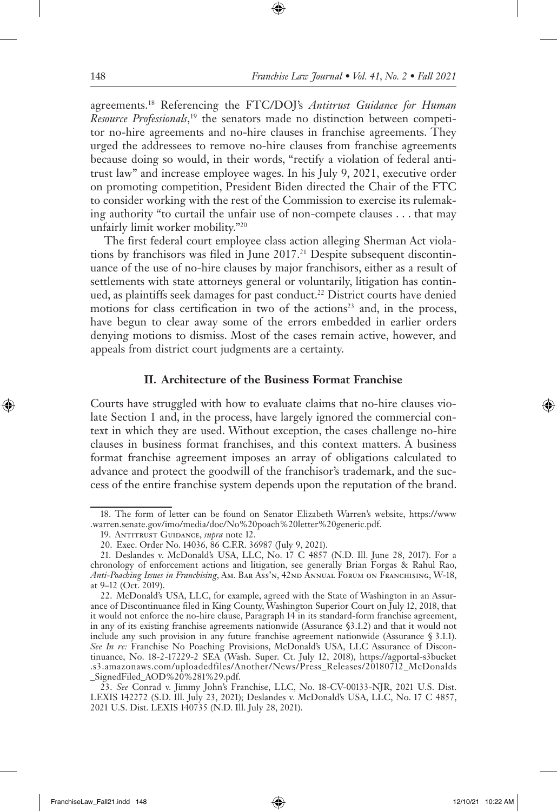agreements.18 Referencing the FTC/DOJ's *Antitrust Guidance for Human Resource Professionals*, <sup>19</sup> the senators made no distinction between competitor no-hire agreements and no-hire clauses in franchise agreements. They urged the addressees to remove no-hire clauses from franchise agreements because doing so would, in their words, "rectify a violation of federal antitrust law" and increase employee wages. In his July 9, 2021, executive order on promoting competition, President Biden directed the Chair of the FTC to consider working with the rest of the Commission to exercise its rulemaking authority "to curtail the unfair use of non-compete clauses . . . that may unfairly limit worker mobility."20

The first federal court employee class action alleging Sherman Act violations by franchisors was filed in June 2017.<sup>21</sup> Despite subsequent discontinuance of the use of no-hire clauses by major franchisors, either as a result of settlements with state attorneys general or voluntarily, litigation has continued, as plaintiffs seek damages for past conduct.<sup>22</sup> District courts have denied motions for class certification in two of the actions<sup>23</sup> and, in the process, have begun to clear away some of the errors embedded in earlier orders denying motions to dismiss. Most of the cases remain active, however, and appeals from district court judgments are a certainty.

#### **II. Architecture of the Business Format Franchise**

Courts have struggled with how to evaluate claims that no-hire clauses violate Section 1 and, in the process, have largely ignored the commercial context in which they are used. Without exception, the cases challenge no-hire clauses in business format franchises, and this context matters. A business format franchise agreement imposes an array of obligations calculated to advance and protect the goodwill of the franchisor's trademark, and the success of the entire franchise system depends upon the reputation of the brand.

<sup>18.</sup> The form of letter can be found on Senator Elizabeth Warren's website, https://www .warren.senate.gov/imo/media/doc/No%20poach%20letter%20generic.pdf.

<sup>19.</sup> Antitrust Guidance, *supra* note 12.

<sup>20.</sup> Exec. Order No. 14036, 86 C.F.R. 36987 (July 9, 2021).

<sup>21.</sup> Deslandes v. McDonald's USA, LLC, No. 17 C 4857 (N.D. Ill. June 28, 2017). For a chronology of enforcement actions and litigation, see generally Brian Forgas & Rahul Rao, *Anti-Poaching Issues in Franchising*, Am. Bar Ass'n, 42nd Annual Forum on Franchising, W-18, at 9–12 (Oct. 2019).

<sup>22.</sup> McDonald's USA, LLC, for example, agreed with the State of Washington in an Assurance of Discontinuance filed in King County, Washington Superior Court on July 12, 2018, that it would not enforce the no-hire clause, Paragraph 14 in its standard-form franchise agreement, in any of its existing franchise agreements nationwide (Assurance §3.1.2) and that it would not include any such provision in any future franchise agreement nationwide (Assurance § 3.1.1). *See In re:* Franchise No Poaching Provisions, McDonald's USA, LLC Assurance of Discontinuance, No. 18-2-17229-2 SEA (Wash. Super. Ct. July 12, 2018), https://agportal-s3bucket .s3.amazonaws.com/uploadedfiles/Another/News/Press\_Releases/20180712\_McDonalds \_SignedFiled\_AOD%20%281%29.pdf.

<sup>23.</sup> *See* Conrad v. Jimmy John's Franchise, LLC, No. 18-CV-00133-NJR, 2021 U.S. Dist. LEXIS 142272 (S.D. Ill. July 23, 2021); Deslandes v. McDonald's USA, LLC, No. 17 C 4857, 2021 U.S. Dist. LEXIS 140735 (N.D. Ill. July 28, 2021).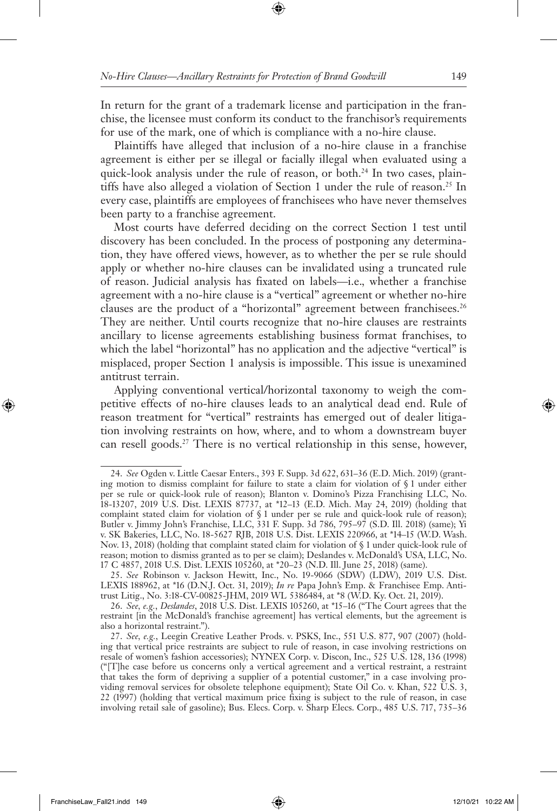In return for the grant of a trademark license and participation in the franchise, the licensee must conform its conduct to the franchisor's requirements for use of the mark, one of which is compliance with a no-hire clause.

Plaintiffs have alleged that inclusion of a no-hire clause in a franchise agreement is either per se illegal or facially illegal when evaluated using a quick-look analysis under the rule of reason, or both.<sup>24</sup> In two cases, plaintiffs have also alleged a violation of Section 1 under the rule of reason.<sup>25</sup> In every case, plaintiffs are employees of franchisees who have never themselves been party to a franchise agreement.

Most courts have deferred deciding on the correct Section 1 test until discovery has been concluded. In the process of postponing any determination, they have offered views, however, as to whether the per se rule should apply or whether no-hire clauses can be invalidated using a truncated rule of reason. Judicial analysis has fixated on labels—i.e.*,* whether a franchise agreement with a no-hire clause is a "vertical" agreement or whether no-hire clauses are the product of a "horizontal" agreement between franchisees.<sup>26</sup> They are neither. Until courts recognize that no-hire clauses are restraints ancillary to license agreements establishing business format franchises, to which the label "horizontal" has no application and the adjective "vertical" is misplaced, proper Section 1 analysis is impossible. This issue is unexamined antitrust terrain.

Applying conventional vertical/horizontal taxonomy to weigh the competitive effects of no-hire clauses leads to an analytical dead end. Rule of reason treatment for "vertical" restraints has emerged out of dealer litigation involving restraints on how, where, and to whom a downstream buyer can resell goods.27 There is no vertical relationship in this sense, however,

<sup>24.</sup> *See* Ogden v. Little Caesar Enters., 393 F. Supp. 3d 622, 631–36 (E.D. Mich. 2019) (granting motion to dismiss complaint for failure to state a claim for violation of § 1 under either per se rule or quick-look rule of reason); Blanton v. Domino's Pizza Franchising LLC, No. 18-13207, 2019 U.S. Dist. LEXIS 87737, at \*12–13 (E.D. Mich. May 24, 2019) (holding that complaint stated claim for violation of § 1 under per se rule and quick-look rule of reason); Butler v. Jimmy John's Franchise, LLC, 331 F. Supp. 3d 786, 795–97 (S.D. Ill. 2018) (same); Yi v. SK Bakeries, LLC, No. 18-5627 RJB, 2018 U.S. Dist. LEXIS 220966, at \*14–15 (W.D. Wash. Nov. 13, 2018) (holding that complaint stated claim for violation of § 1 under quick-look rule of reason; motion to dismiss granted as to per se claim); Deslandes v. McDonald's USA, LLC, No. 17 C 4857, 2018 U.S. Dist. LEXIS 105260, at \*20–23 (N.D. Ill. June 25, 2018) (same).

<sup>25.</sup> *See* Robinson v. Jackson Hewitt, Inc., No. 19-9066 (SDW) (LDW), 2019 U.S. Dist. LEXIS 188962, at \*16 (D.N.J. Oct. 31, 2019); *In re* Papa John's Emp. & Franchisee Emp. Antitrust Litig., No. 3:18-CV-00825-JHM, 2019 WL 5386484, at \*8 (W.D. Ky. Oct. 21, 2019).

<sup>26.</sup> *See, e.g.*, *Deslandes*, 2018 U.S. Dist. LEXIS 105260, at \*15–16 ("The Court agrees that the restraint [in the McDonald's franchise agreement] has vertical elements, but the agreement is also a horizontal restraint.").

<sup>27.</sup> *See, e.g.*, Leegin Creative Leather Prods. v. PSKS, Inc., 551 U.S. 877, 907 (2007) (holding that vertical price restraints are subject to rule of reason, in case involving restrictions on resale of women's fashion accessories); NYNEX Corp. v. Discon, Inc., 525 U.S. 128, 136 (1998) ("[T]he case before us concerns only a vertical agreement and a vertical restraint, a restraint that takes the form of depriving a supplier of a potential customer," in a case involving providing removal services for obsolete telephone equipment); State Oil Co. v. Khan, 522 U.S. 3, 22 (1997) (holding that vertical maximum price fixing is subject to the rule of reason, in case involving retail sale of gasoline); Bus. Elecs. Corp. v. Sharp Elecs. Corp., 485 U.S. 717, 735–36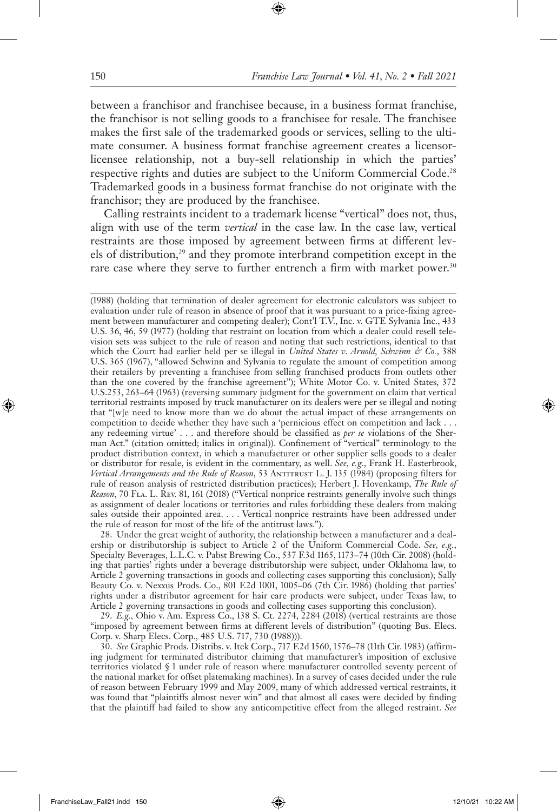between a franchisor and franchisee because, in a business format franchise, the franchisor is not selling goods to a franchisee for resale. The franchisee makes the first sale of the trademarked goods or services, selling to the ultimate consumer. A business format franchise agreement creates a licensorlicensee relationship, not a buy-sell relationship in which the parties' respective rights and duties are subject to the Uniform Commercial Code.<sup>28</sup> Trademarked goods in a business format franchise do not originate with the franchisor; they are produced by the franchisee.

Calling restraints incident to a trademark license "vertical" does not, thus, align with use of the term *vertical* in the case law. In the case law, vertical restraints are those imposed by agreement between firms at different levels of distribution,<sup>29</sup> and they promote interbrand competition except in the rare case where they serve to further entrench a firm with market power.<sup>30</sup>

(1988) (holding that termination of dealer agreement for electronic calculators was subject to evaluation under rule of reason in absence of proof that it was pursuant to a price-fixing agreement between manufacturer and competing dealer); Cont'l T.V., Inc. v. GTE Sylvania Inc., 433 U.S. 36, 46, 59 (1977) (holding that restraint on location from which a dealer could resell television sets was subject to the rule of reason and noting that such restrictions, identical to that which the Court had earlier held per se illegal in *United States v. Arnold, Schwinn & Co.*, 388 U.S. 365 (1967), "allowed Schwinn and Sylvania to regulate the amount of competition among their retailers by preventing a franchisee from selling franchised products from outlets other than the one covered by the franchise agreement"); White Motor Co. v. United States, 372 U.S.253, 263–64 (1963) (reversing summary judgment for the government on claim that vertical territorial restraints imposed by truck manufacturer on its dealers were per se illegal and noting that "[w]e need to know more than we do about the actual impact of these arrangements on competition to decide whether they have such a 'pernicious effect on competition and lack . . . any redeeming virtue' . . . and therefore should be classified as *per se* violations of the Sherman Act." (citation omitted; italics in original)). Confinement of "vertical" terminology to the product distribution context, in which a manufacturer or other supplier sells goods to a dealer or distributor for resale, is evident in the commentary, as well. *See, e.g.*, Frank H. Easterbrook, *Vertical Arrangements and the Rule of Reason*, 53 Antitrust L. J. 135 (1984) (proposing filters for rule of reason analysis of restricted distribution practices); Herbert J. Hovenkamp, *The Rule of Reason*, 70 FLA. L. REV. 81, 161 (2018) ("Vertical nonprice restraints generally involve such things as assignment of dealer locations or territories and rules forbidding these dealers from making sales outside their appointed area. . . . Vertical nonprice restraints have been addressed under the rule of reason for most of the life of the antitrust laws.").

28. Under the great weight of authority, the relationship between a manufacturer and a dealership or distributorship is subject to Article 2 of the Uniform Commercial Code. *See, e.g.*, Specialty Beverages, L.L.C. v. Pabst Brewing Co., 537 F.3d 1165, 1173–74 (10th Cir. 2008) (holding that parties' rights under a beverage distributorship were subject, under Oklahoma law, to Article 2 governing transactions in goods and collecting cases supporting this conclusion); Sally Beauty Co. v. Nexxus Prods. Co., 801 F.2d 1001, 1005–06 (7th Cir. 1986) (holding that parties' rights under a distributor agreement for hair care products were subject, under Texas law, to Article 2 governing transactions in goods and collecting cases supporting this conclusion).

29. *E.g.,* Ohio v. Am. Express Co., 138 S. Ct. 2274, 2284 (2018) (vertical restraints are those "imposed by agreement between firms at different levels of distribution" (quoting Bus. Elecs. Corp. v. Sharp Elecs. Corp., 485 U.S. 717, 730 (1988))).

30. *See* Graphic Prods. Distribs. v. Itek Corp., 717 F.2d 1560, 1576–78 (11th Cir. 1983) (affirming judgment for terminated distributor claiming that manufacturer's imposition of exclusive territories violated § 1 under rule of reason where manufacturer controlled seventy percent of the national market for offset platemaking machines). In a survey of cases decided under the rule of reason between February 1999 and May 2009, many of which addressed vertical restraints, it was found that "plaintiffs almost never win" and that almost all cases were decided by finding that the plaintiff had failed to show any anticompetitive effect from the alleged restraint. *See*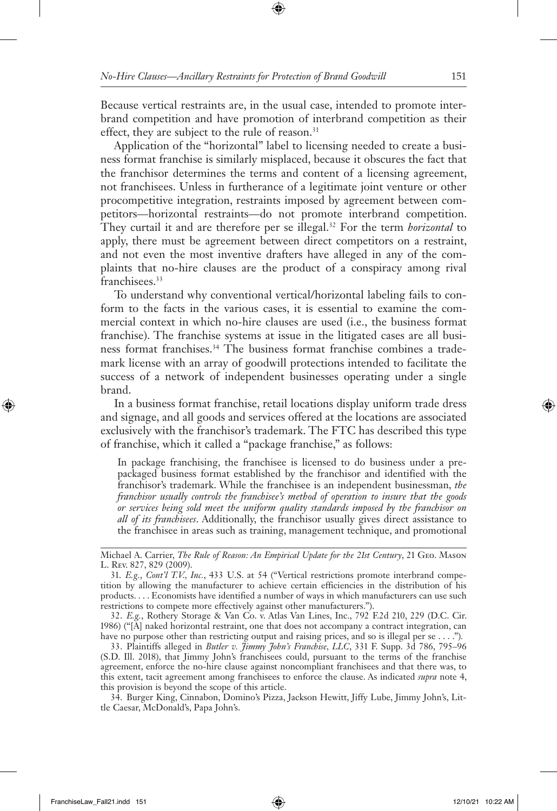Because vertical restraints are, in the usual case, intended to promote interbrand competition and have promotion of interbrand competition as their effect, they are subject to the rule of reason.<sup>31</sup>

Application of the "horizontal" label to licensing needed to create a business format franchise is similarly misplaced, because it obscures the fact that the franchisor determines the terms and content of a licensing agreement, not franchisees. Unless in furtherance of a legitimate joint venture or other procompetitive integration, restraints imposed by agreement between competitors—horizontal restraints—do not promote interbrand competition. They curtail it and are therefore per se illegal.<sup>32</sup> For the term *horizontal* to apply, there must be agreement between direct competitors on a restraint, and not even the most inventive drafters have alleged in any of the complaints that no-hire clauses are the product of a conspiracy among rival franchisees.<sup>33</sup>

To understand why conventional vertical/horizontal labeling fails to conform to the facts in the various cases, it is essential to examine the commercial context in which no-hire clauses are used (i.e., the business format franchise). The franchise systems at issue in the litigated cases are all business format franchises.34 The business format franchise combines a trademark license with an array of goodwill protections intended to facilitate the success of a network of independent businesses operating under a single brand.

In a business format franchise, retail locations display uniform trade dress and signage, and all goods and services offered at the locations are associated exclusively with the franchisor's trademark. The FTC has described this type of franchise, which it called a "package franchise," as follows:

In package franchising, the franchisee is licensed to do business under a prepackaged business format established by the franchisor and identified with the franchisor's trademark. While the franchisee is an independent businessman, *the franchisor usually controls the franchisee's method of operation to insure that the goods or services being sold meet the uniform quality standards imposed by the franchisor on all of its franchisees*. Additionally, the franchisor usually gives direct assistance to the franchisee in areas such as training, management technique, and promotional

34. Burger King, Cinnabon, Domino's Pizza, Jackson Hewitt, Jiffy Lube, Jimmy John's, Little Caesar, McDonald's, Papa John's.

Michael A. Carrier, *The Rule of Reason: An Empirical Update for the 21st Century*, 21 Geo. Mason L. Rev. 827, 829 (2009).

<sup>31.</sup> *E.g.*, *Cont'l T.V., Inc.*, 433 U.S. at 54 ("Vertical restrictions promote interbrand competition by allowing the manufacturer to achieve certain efficiencies in the distribution of his products. . . . Economists have identified a number of ways in which manufacturers can use such restrictions to compete more effectively against other manufacturers.").

<sup>32.</sup> *E.g.*, Rothery Storage & Van Co. v. Atlas Van Lines, Inc., 792 F.2d 210, 229 (D.C. Cir. 1986) ("[A] naked horizontal restraint, one that does not accompany a contract integration, can have no purpose other than restricting output and raising prices, and so is illegal per se . . . .")*.*

<sup>33.</sup> Plaintiffs alleged in *Butler v. Jimmy John's Franchise, LLC*, 331 F. Supp. 3d 786, 795–96 (S.D. Ill. 2018), that Jimmy John's franchisees could, pursuant to the terms of the franchise agreement, enforce the no-hire clause against noncompliant franchisees and that there was, to this extent, tacit agreement among franchisees to enforce the clause. As indicated *supra* note 4, this provision is beyond the scope of this article.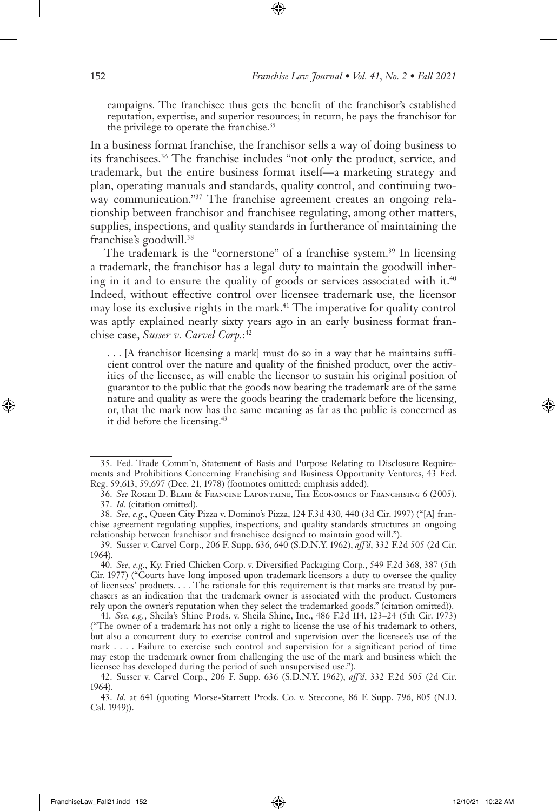campaigns. The franchisee thus gets the benefit of the franchisor's established reputation, expertise, and superior resources; in return, he pays the franchisor for the privilege to operate the franchise.<sup>35</sup>

In a business format franchise, the franchisor sells a way of doing business to its franchisees.36 The franchise includes "not only the product, service, and trademark, but the entire business format itself—a marketing strategy and plan, operating manuals and standards, quality control, and continuing twoway communication."<sup>37</sup> The franchise agreement creates an ongoing relationship between franchisor and franchisee regulating, among other matters, supplies, inspections, and quality standards in furtherance of maintaining the franchise's goodwill.38

The trademark is the "cornerstone" of a franchise system.<sup>39</sup> In licensing a trademark, the franchisor has a legal duty to maintain the goodwill inhering in it and to ensure the quality of goods or services associated with it. $40$ Indeed, without effective control over licensee trademark use, the licensor may lose its exclusive rights in the mark.<sup>41</sup> The imperative for quality control was aptly explained nearly sixty years ago in an early business format franchise case, *Susser v. Carvel Corp.*: 42

. . . [A franchisor licensing a mark] must do so in a way that he maintains sufficient control over the nature and quality of the finished product, over the activities of the licensee, as will enable the licensor to sustain his original position of guarantor to the public that the goods now bearing the trademark are of the same nature and quality as were the goods bearing the trademark before the licensing, or, that the mark now has the same meaning as far as the public is concerned as it did before the licensing.<sup>43</sup>

<sup>35.</sup> Fed. Trade Comm'n, Statement of Basis and Purpose Relating to Disclosure Requirements and Prohibitions Concerning Franchising and Business Opportunity Ventures, 43 Fed. Reg. 59,613, 59,697 (Dec. 21, 1978) (footnotes omitted; emphasis added).

<sup>36.</sup> *See* Roger D. Blair & Francine Lafontaine, The Economics of Franchising 6 (2005). 37. *Id.* (citation omitted).

<sup>38.</sup> *See, e.g.*, Queen City Pizza v. Domino's Pizza, 124 F.3d 430, 440 (3d Cir. 1997) ("[A] franchise agreement regulating supplies, inspections, and quality standards structures an ongoing relationship between franchisor and franchisee designed to maintain good will.").

<sup>39.</sup> Susser v. Carvel Corp., 206 F. Supp. 636, 640 (S.D.N.Y. 1962), *aff'd*, 332 F.2d 505 (2d Cir. 1964).

<sup>40.</sup> *See, e.g.*, Ky. Fried Chicken Corp. v. Diversified Packaging Corp., 549 F.2d 368, 387 (5th Cir. 1977) ("Courts have long imposed upon trademark licensors a duty to oversee the quality of licensees' products. . . . The rationale for this requirement is that marks are treated by purchasers as an indication that the trademark owner is associated with the product. Customers rely upon the owner's reputation when they select the trademarked goods." (citation omitted)).

<sup>41.</sup> *See, e.g.*, Sheila's Shine Prods. v. Sheila Shine, Inc., 486 F.2d 114, 123–24 (5th Cir. 1973) ("The owner of a trademark has not only a right to license the use of his trademark to others, but also a concurrent duty to exercise control and supervision over the licensee's use of the mark . . . . Failure to exercise such control and supervision for a significant period of time may estop the trademark owner from challenging the use of the mark and business which the licensee has developed during the period of such unsupervised use.").

<sup>42.</sup> Susser v. Carvel Corp., 206 F. Supp. 636 (S.D.N.Y. 1962), *aff'd*, 332 F.2d 505 (2d Cir. 1964).

<sup>43.</sup> *Id.* at 641 (quoting Morse-Starrett Prods. Co. v. Steccone, 86 F. Supp. 796, 805 (N.D. Cal. 1949)).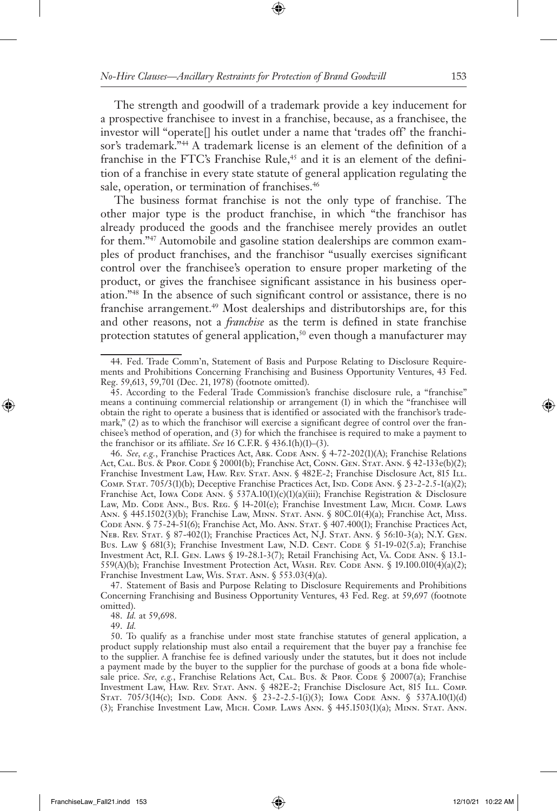The strength and goodwill of a trademark provide a key inducement for a prospective franchisee to invest in a franchise, because, as a franchisee, the investor will "operate[] his outlet under a name that 'trades off' the franchisor's trademark."<sup>44</sup> A trademark license is an element of the definition of a franchise in the FTC's Franchise Rule,<sup>45</sup> and it is an element of the definition of a franchise in every state statute of general application regulating the sale, operation, or termination of franchises.<sup>46</sup>

The business format franchise is not the only type of franchise. The other major type is the product franchise, in which "the franchisor has already produced the goods and the franchisee merely provides an outlet for them."47 Automobile and gasoline station dealerships are common examples of product franchises, and the franchisor "usually exercises significant control over the franchisee's operation to ensure proper marketing of the product, or gives the franchisee significant assistance in his business operation."48 In the absence of such significant control or assistance, there is no franchise arrangement.<sup>49</sup> Most dealerships and distributorships are, for this and other reasons, not a *franchise* as the term is defined in state franchise protection statutes of general application,<sup>50</sup> even though a manufacturer may

46. See, e.g., Franchise Practices Act, ARK. CODE ANN. § 4-72-202(1)(A); Franchise Relations Act, Cal. Bus. & Prof. Code § 20001(b); Franchise Act, Conn. Gen. Stat. Ann. § 42-133e(b)(2); Franchise Investment Law, Haw. Rev. Stat. Ann. § 482E-2; Franchise Disclosure Act, 815 Ill. COMP. STAT. 705/3(1)(b); Deceptive Franchise Practices Act, IND. CODE ANN. § 23-2-2.5-1(a)(2); Franchise Act, Iowa Code Ann. § 537A.10(1)(c)(1)(a)(iii); Franchise Registration & Disclosure Law, Md. Code Ann., Bus. Reg. § 14-201(e); Franchise Investment Law, Mich. Comp. Laws Ann. § 445.1502(3)(b); Franchise Law, Minn. Stat. Ann. § 80C.01(4)(a); Franchise Act, Miss. CODE ANN. § 75-24-51(6); Franchise Act, Mo. ANN. STAT. § 407.400(1); Franchise Practices Act, Neb. Rev. Stat. § 87-402(1); Franchise Practices Act, N.J. Stat. Ann. § 56:10-3(a); N.Y. Gen. Bus. Law §  $681(3)$ ; Franchise Investment Law, N.D. CENT. CODE § 51-19-02(5.a); Franchise Investment Act, R.I. Gen. Laws § 19-28.1-3(7); Retail Franchising Act, Va. Code Ann. § 13.1-559(A)(b); Franchise Investment Protection Act, WASH. REV. CODE ANN. § 19.100.010(4)(a)(2); Franchise Investment Law, Wis. STAT. ANN. § 553.03(4)(a).

47. Statement of Basis and Purpose Relating to Disclosure Requirements and Prohibitions Concerning Franchising and Business Opportunity Ventures, 43 Fed. Reg. at 59,697 (footnote omitted).

48. *Id.* at 59,698.

49. *Id.* 

<sup>44.</sup> Fed. Trade Comm'n, Statement of Basis and Purpose Relating to Disclosure Requirements and Prohibitions Concerning Franchising and Business Opportunity Ventures, 43 Fed. Reg. 59,613, 59,701 (Dec. 21, 1978) (footnote omitted).

<sup>45.</sup> According to the Federal Trade Commission's franchise disclosure rule, a "franchise" means a continuing commercial relationship or arrangement (1) in which the "franchisee will obtain the right to operate a business that is identified or associated with the franchisor's trademark," (2) as to which the franchisor will exercise a significant degree of control over the franchisee's method of operation, and (3) for which the franchisee is required to make a payment to the franchisor or its affiliate. *See* 16 C.F.R. § 436.1(h)(1)–(3).

<sup>50.</sup> To qualify as a franchise under most state franchise statutes of general application, a product supply relationship must also entail a requirement that the buyer pay a franchise fee to the supplier. A franchise fee is defined variously under the statutes, but it does not include a payment made by the buyer to the supplier for the purchase of goods at a bona fide wholesale price. *See, e.g.*, Franchise Relations Act, CAL. Bus. & PROF. CODE § 20007(a); Franchise Investment Law, Haw. Rev. Stat. Ann. § 482E-2; Franchise Disclosure Act, 815 Ill. Comp. STAT. 705/3(14(c); IND. CODE ANN. § 23-2-2.5-1(i)(3); IOWA CODE ANN. § 537A.10(1)(d) (3); Franchise Investment Law, Mich. Comp. Laws Ann. § 445.1503(1)(a); Minn. Stat. Ann.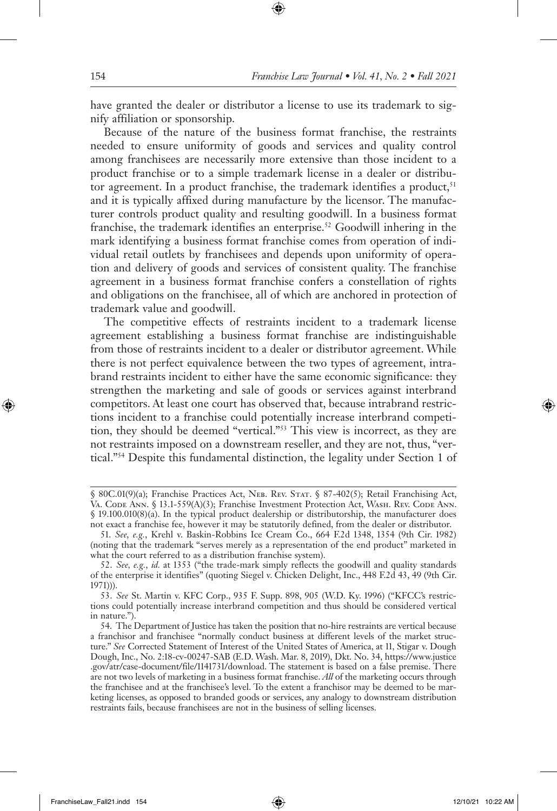have granted the dealer or distributor a license to use its trademark to signify affiliation or sponsorship.

Because of the nature of the business format franchise, the restraints needed to ensure uniformity of goods and services and quality control among franchisees are necessarily more extensive than those incident to a product franchise or to a simple trademark license in a dealer or distributor agreement. In a product franchise, the trademark identifies a product,<sup>51</sup> and it is typically affixed during manufacture by the licensor. The manufacturer controls product quality and resulting goodwill. In a business format franchise, the trademark identifies an enterprise.<sup>52</sup> Goodwill inhering in the mark identifying a business format franchise comes from operation of individual retail outlets by franchisees and depends upon uniformity of operation and delivery of goods and services of consistent quality. The franchise agreement in a business format franchise confers a constellation of rights and obligations on the franchisee, all of which are anchored in protection of trademark value and goodwill.

The competitive effects of restraints incident to a trademark license agreement establishing a business format franchise are indistinguishable from those of restraints incident to a dealer or distributor agreement. While there is not perfect equivalence between the two types of agreement, intrabrand restraints incident to either have the same economic significance: they strengthen the marketing and sale of goods or services against interbrand competitors. At least one court has observed that, because intrabrand restrictions incident to a franchise could potentially increase interbrand competition, they should be deemed "vertical."53 This view is incorrect, as they are not restraints imposed on a downstream reseller, and they are not, thus, "vertical."54 Despite this fundamental distinction, the legality under Section 1 of

<sup>§ 80</sup>C.01(9)(a); Franchise Practices Act, NEB. REV. STAT. § 87-402(5); Retail Franchising Act, Va. Code Ann. § 13.1-559(A)(3); Franchise Investment Protection Act, Wash. Rev. Code Ann. § 19.100.010(8)(a). In the typical product dealership or distributorship, the manufacturer does not exact a franchise fee, however it may be statutorily defined, from the dealer or distributor.

<sup>51.</sup> *See, e.g.*, Krehl v. Baskin-Robbins Ice Cream Co., 664 F.2d 1348, 1354 (9th Cir. 1982) (noting that the trademark "serves merely as a representation of the end product" marketed in what the court referred to as a distribution franchise system).

<sup>52.</sup> *See, e.g.*, *id.* at 1353 ("the trade-mark simply reflects the goodwill and quality standards of the enterprise it identifies" (quoting Siegel v. Chicken Delight, Inc., 448 F.2d 43, 49 (9th Cir. 1971))).

<sup>53.</sup> *See* St. Martin v. KFC Corp., 935 F. Supp. 898, 905 (W.D. Ky. 1996) ("KFCC's restrictions could potentially increase interbrand competition and thus should be considered vertical in nature.").

<sup>54.</sup> The Department of Justice has taken the position that no-hire restraints are vertical because a franchisor and franchisee "normally conduct business at different levels of the market structure." *See* Corrected Statement of Interest of the United States of America, at 11, Stigar v. Dough Dough, Inc., No. 2:18-cv-00247-SAB (E.D. Wash. Mar. 8, 2019), Dkt. No. 34, https://www.justice .gov/atr/case-document/file/1141731/download. The statement is based on a false premise. There are not two levels of marketing in a business format franchise. *All* of the marketing occurs through the franchisee and at the franchisee's level. To the extent a franchisor may be deemed to be marketing licenses, as opposed to branded goods or services, any analogy to downstream distribution restraints fails, because franchisees are not in the business of selling licenses.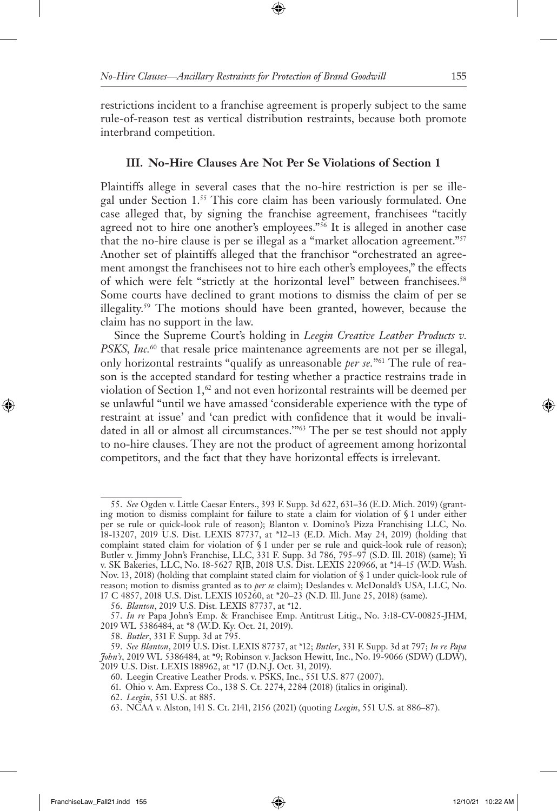restrictions incident to a franchise agreement is properly subject to the same rule-of-reason test as vertical distribution restraints, because both promote interbrand competition.

## **III. No-Hire Clauses Are Not Per Se Violations of Section 1**

Plaintiffs allege in several cases that the no-hire restriction is per se illegal under Section 1.55 This core claim has been variously formulated. One case alleged that, by signing the franchise agreement, franchisees "tacitly agreed not to hire one another's employees."<sup>56</sup> It is alleged in another case that the no-hire clause is per se illegal as a "market allocation agreement."57 Another set of plaintiffs alleged that the franchisor "orchestrated an agreement amongst the franchisees not to hire each other's employees," the effects of which were felt "strictly at the horizontal level" between franchisees.<sup>58</sup> Some courts have declined to grant motions to dismiss the claim of per se illegality.59 The motions should have been granted, however, because the claim has no support in the law.

Since the Supreme Court's holding in *Leegin Creative Leather Products v. PSKS, Inc.*<sup>60</sup> that resale price maintenance agreements are not per se illegal, only horizontal restraints "qualify as unreasonable *per se.*"61 The rule of reason is the accepted standard for testing whether a practice restrains trade in violation of Section 1,<sup>62</sup> and not even horizontal restraints will be deemed per se unlawful "until we have amassed 'considerable experience with the type of restraint at issue' and 'can predict with confidence that it would be invalidated in all or almost all circumstances.'"63 The per se test should not apply to no-hire clauses. They are not the product of agreement among horizontal competitors, and the fact that they have horizontal effects is irrelevant.

<sup>55.</sup> *See* Ogden v. Little Caesar Enters., 393 F. Supp. 3d 622, 631–36 (E.D. Mich. 2019) (granting motion to dismiss complaint for failure to state a claim for violation of § 1 under either per se rule or quick-look rule of reason); Blanton v. Domino's Pizza Franchising LLC, No. 18-13207, 2019 U.S. Dist. LEXIS 87737, at \*12–13 (E.D. Mich. May 24, 2019) (holding that complaint stated claim for violation of § 1 under per se rule and quick-look rule of reason); Butler v. Jimmy John's Franchise, LLC, 331 F. Supp. 3d 786, 795–97 (S.D. Ill. 2018) (same); Yi v. SK Bakeries, LLC, No. 18-5627 RJB, 2018 U.S. Dist. LEXIS 220966, at \*14–15 (W.D. Wash. Nov. 13, 2018) (holding that complaint stated claim for violation of § 1 under quick-look rule of reason; motion to dismiss granted as to *per se* claim); Deslandes v. McDonald's USA, LLC, No. 17 C 4857, 2018 U.S. Dist. LEXIS 105260, at \*20–23 (N.D. Ill. June 25, 2018) (same).

<sup>56.</sup> *Blanton*, 2019 U.S. Dist. LEXIS 87737, at \*12.

<sup>57.</sup> *In re* Papa John's Emp. & Franchisee Emp. Antitrust Litig., No. 3:18-CV-00825-JHM, 2019 WL 5386484, at \*8 (W.D. Ky. Oct. 21, 2019).

<sup>58.</sup> *Butler*, 331 F. Supp. 3d at 795.

<sup>59.</sup> *See Blanton*, 2019 U.S. Dist. LEXIS 87737, at \*12; *Butler*, 331 F. Supp. 3d at 797; *In re Papa John's*, 2019 WL 5386484, at \*9; Robinson v. Jackson Hewitt, Inc., No. 19-9066 (SDW) (LDW), 2019 U.S. Dist. LEXIS 188962, at \*17 (D.N.J. Oct. 31, 2019).

<sup>60.</sup> Leegin Creative Leather Prods. v. PSKS, Inc., 551 U.S. 877 (2007).

<sup>61.</sup> Ohio v. Am. Express Co., 138 S. Ct. 2274, 2284 (2018) (italics in original).

<sup>62.</sup> *Leegin*, 551 U.S. at 885.

<sup>63.</sup> NCAA v. Alston, 141 S. Ct. 2141, 2156 (2021) (quoting *Leegin*, 551 U.S. at 886–87).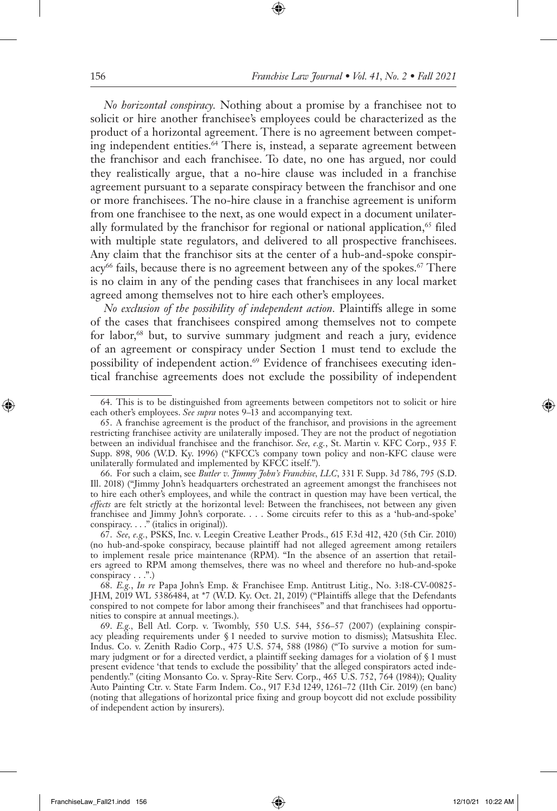*No horizontal conspiracy.* Nothing about a promise by a franchisee not to solicit or hire another franchisee's employees could be characterized as the product of a horizontal agreement. There is no agreement between competing independent entities.<sup>64</sup> There is, instead, a separate agreement between the franchisor and each franchisee. To date, no one has argued, nor could they realistically argue, that a no-hire clause was included in a franchise agreement pursuant to a separate conspiracy between the franchisor and one or more franchisees. The no-hire clause in a franchise agreement is uniform from one franchisee to the next, as one would expect in a document unilaterally formulated by the franchisor for regional or national application,<sup>65</sup> filed with multiple state regulators, and delivered to all prospective franchisees. Any claim that the franchisor sits at the center of a hub-and-spoke conspiracy<sup>66</sup> fails, because there is no agreement between any of the spokes.<sup>67</sup> There is no claim in any of the pending cases that franchisees in any local market agreed among themselves not to hire each other's employees.

*No exclusion of the possibility of independent action.* Plaintiffs allege in some of the cases that franchisees conspired among themselves not to compete for labor,<sup>68</sup> but, to survive summary judgment and reach a jury, evidence of an agreement or conspiracy under Section 1 must tend to exclude the possibility of independent action.<sup>69</sup> Evidence of franchisees executing identical franchise agreements does not exclude the possibility of independent

<sup>64.</sup> This is to be distinguished from agreements between competitors not to solicit or hire each other's employees. *See supra* notes 9–13 and accompanying text.

<sup>65.</sup> A franchise agreement is the product of the franchisor, and provisions in the agreement restricting franchisee activity are unilaterally imposed. They are not the product of negotiation between an individual franchisee and the franchisor. *See, e.g.*, St. Martin v. KFC Corp., 935 F. Supp. 898, 906 (W.D. Ky. 1996) ("KFCC's company town policy and non-KFC clause were unilaterally formulated and implemented by KFCC itself.").

<sup>66.</sup> For such a claim, see *Butler v. Jimmy John's Franchise, LLC*, 331 F. Supp. 3d 786, 795 (S.D. Ill. 2018) ("Jimmy John's headquarters orchestrated an agreement amongst the franchisees not to hire each other's employees, and while the contract in question may have been vertical, the *effects* are felt strictly at the horizontal level: Between the franchisees, not between any given franchisee and Jimmy John's corporate. . . . Some circuits refer to this as a 'hub-and-spoke' conspiracy. . . ." (italics in original)).

<sup>67.</sup> *See, e.g.*, PSKS, Inc. v. Leegin Creative Leather Prods., 615 F.3d 412, 420 (5th Cir. 2010) (no hub-and-spoke conspiracy, because plaintiff had not alleged agreement among retailers to implement resale price maintenance (RPM). "In the absence of an assertion that retailers agreed to RPM among themselves, there was no wheel and therefore no hub-and-spoke conspiracy . . .".)

<sup>68.</sup> *E.g.*, *In re* Papa John's Emp. & Franchisee Emp. Antitrust Litig., No. 3:18-CV-00825- JHM, 2019 WL 5386484, at \*7 (W.D. Ky. Oct. 21, 2019) ("Plaintiffs allege that the Defendants conspired to not compete for labor among their franchisees" and that franchisees had opportunities to conspire at annual meetings.).

<sup>69.</sup> *E.g.,* Bell Atl. Corp. v. Twombly, 550 U.S. 544, 556–57 (2007) (explaining conspiracy pleading requirements under § 1 needed to survive motion to dismiss); Matsushita Elec. Indus. Co. v. Zenith Radio Corp., 475 U.S. 574, 588 (1986) ("To survive a motion for summary judgment or for a directed verdict, a plaintiff seeking damages for a violation of § 1 must present evidence 'that tends to exclude the possibility' that the alleged conspirators acted independently." (citing Monsanto Co. v. Spray-Rite Serv. Corp., 465 U.S. 752, 764 (1984)); Quality Auto Painting Ctr. v. State Farm Indem. Co., 917 F.3d 1249, 1261–72 (11th Cir. 2019) (en banc) (noting that allegations of horizontal price fixing and group boycott did not exclude possibility of independent action by insurers).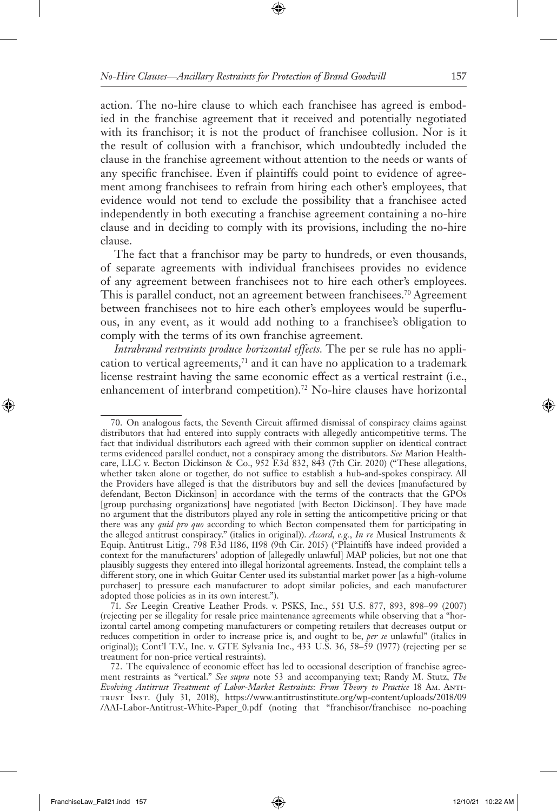action. The no-hire clause to which each franchisee has agreed is embodied in the franchise agreement that it received and potentially negotiated with its franchisor; it is not the product of franchisee collusion. Nor is it the result of collusion with a franchisor, which undoubtedly included the clause in the franchise agreement without attention to the needs or wants of any specific franchisee. Even if plaintiffs could point to evidence of agreement among franchisees to refrain from hiring each other's employees, that evidence would not tend to exclude the possibility that a franchisee acted independently in both executing a franchise agreement containing a no-hire clause and in deciding to comply with its provisions, including the no-hire clause.

The fact that a franchisor may be party to hundreds, or even thousands, of separate agreements with individual franchisees provides no evidence of any agreement between franchisees not to hire each other's employees. This is parallel conduct, not an agreement between franchisees.<sup>70</sup> Agreement between franchisees not to hire each other's employees would be superfluous, in any event, as it would add nothing to a franchisee's obligation to comply with the terms of its own franchise agreement.

*Intrabrand restraints produce horizontal effects.* The per se rule has no application to vertical agreements, $71$  and it can have no application to a trademark license restraint having the same economic effect as a vertical restraint (i.e., enhancement of interbrand competition).<sup>72</sup> No-hire clauses have horizontal

<sup>70.</sup> On analogous facts, the Seventh Circuit affirmed dismissal of conspiracy claims against distributors that had entered into supply contracts with allegedly anticompetitive terms. The fact that individual distributors each agreed with their common supplier on identical contract terms evidenced parallel conduct, not a conspiracy among the distributors. *See* Marion Healthcare, LLC v. Becton Dickinson & Co., 952 F.3d 832, 843 (7th Cir. 2020) ("These allegations, whether taken alone or together, do not suffice to establish a hub-and-spokes conspiracy. All the Providers have alleged is that the distributors buy and sell the devices [manufactured by defendant, Becton Dickinson] in accordance with the terms of the contracts that the GPOs [group purchasing organizations] have negotiated [with Becton Dickinson]. They have made no argument that the distributors played any role in setting the anticompetitive pricing or that there was any *quid pro quo* according to which Becton compensated them for participating in the alleged antitrust conspiracy." (italics in original)). *Accord, e.g.*, *In re* Musical Instruments & Equip. Antitrust Litig., 798 F.3d 1186, 1198 (9th Cir. 2015) ("Plaintiffs have indeed provided a context for the manufacturers' adoption of [allegedly unlawful] MAP policies, but not one that plausibly suggests they entered into illegal horizontal agreements. Instead, the complaint tells a different story, one in which Guitar Center used its substantial market power [as a high-volume purchaser] to pressure each manufacturer to adopt similar policies, and each manufacturer adopted those policies as in its own interest.").

<sup>71.</sup> *See* Leegin Creative Leather Prods. v. PSKS, Inc., 551 U.S. 877, 893, 898–99 (2007) (rejecting per se illegality for resale price maintenance agreements while observing that a "horizontal cartel among competing manufacturers or competing retailers that decreases output or reduces competition in order to increase price is, and ought to be, *per se* unlawful" (italics in original)); Cont'l T.V., Inc. v. GTE Sylvania Inc., 433 U.S. 36, 58–59 (1977) (rejecting per se treatment for non-price vertical restraints).

<sup>72.</sup> The equivalence of economic effect has led to occasional description of franchise agreement restraints as "vertical." *See supra* note 53 and accompanying text; Randy M. Stutz, *The Evolving Antitrust Treatment of Labor-Market Restraints: From Theory to Practice* 18 Am. Antitrust Inst. (July 31, 2018), https://www.antitrustinstitute.org/wp-content/uploads/2018/09 /AAI-Labor-Antitrust-White-Paper\_0.pdf (noting that "franchisor/franchisee no-poaching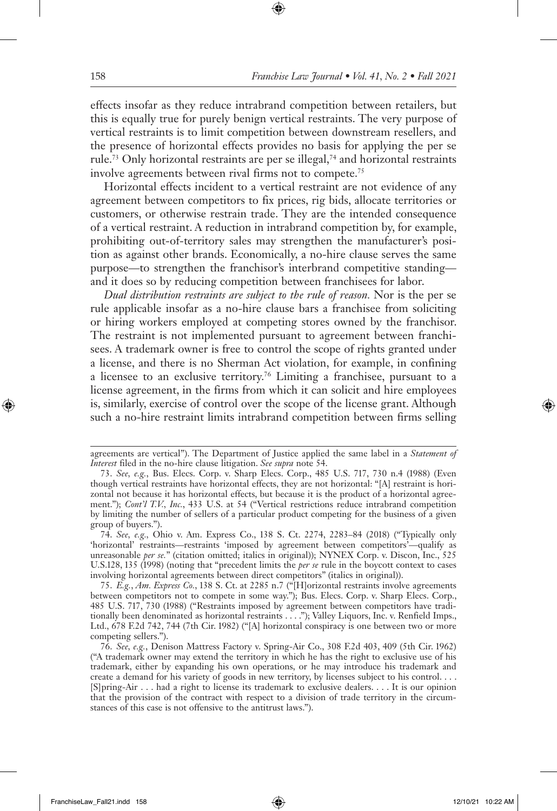effects insofar as they reduce intrabrand competition between retailers, but this is equally true for purely benign vertical restraints. The very purpose of vertical restraints is to limit competition between downstream resellers, and the presence of horizontal effects provides no basis for applying the per se rule.<sup>73</sup> Only horizontal restraints are per se illegal,<sup>74</sup> and horizontal restraints involve agreements between rival firms not to compete.<sup>75</sup>

Horizontal effects incident to a vertical restraint are not evidence of any agreement between competitors to fix prices, rig bids, allocate territories or customers, or otherwise restrain trade. They are the intended consequence of a vertical restraint. A reduction in intrabrand competition by, for example, prohibiting out-of-territory sales may strengthen the manufacturer's position as against other brands. Economically, a no-hire clause serves the same purpose—to strengthen the franchisor's interbrand competitive standing and it does so by reducing competition between franchisees for labor.

*Dual distribution restraints are subject to the rule of reason.* Nor is the per se rule applicable insofar as a no-hire clause bars a franchisee from soliciting or hiring workers employed at competing stores owned by the franchisor. The restraint is not implemented pursuant to agreement between franchisees. A trademark owner is free to control the scope of rights granted under a license, and there is no Sherman Act violation, for example, in confining a licensee to an exclusive territory.76 Limiting a franchisee, pursuant to a license agreement, in the firms from which it can solicit and hire employees is, similarly, exercise of control over the scope of the license grant. Although such a no-hire restraint limits intrabrand competition between firms selling

agreements are vertical"). The Department of Justice applied the same label in a *Statement of Interest* filed in the no-hire clause litigation. *See supra* note 54.

<sup>73.</sup> *See, e.g.*, Bus. Elecs. Corp. v. Sharp Elecs. Corp., 485 U.S. 717, 730 n.4 (1988) (Even though vertical restraints have horizontal effects, they are not horizontal: "[A] restraint is horizontal not because it has horizontal effects, but because it is the product of a horizontal agreement."); *Cont'l T.V., Inc.*, 433 U.S. at 54 ("Vertical restrictions reduce intrabrand competition by limiting the number of sellers of a particular product competing for the business of a given group of buyers.").

<sup>74.</sup> *See, e.g.,* Ohio v. Am. Express Co., 138 S. Ct. 2274, 2283–84 (2018) ("Typically only 'horizontal' restraints—restraints 'imposed by agreement between competitors'—qualify as unreasonable *per se.*" (citation omitted; italics in original)); NYNEX Corp. v. Discon, Inc., 525 U.S.128, 135 (1998) (noting that "precedent limits the *per se* rule in the boycott context to cases involving horizontal agreements between direct competitors" (italics in original)).

<sup>75.</sup> *E.g.*, *Am. Express Co.*, 138 S. Ct. at 2285 n.7 ("[H]orizontal restraints involve agreements between competitors not to compete in some way."); Bus. Elecs. Corp. v. Sharp Elecs. Corp., 485 U.S. 717, 730 (1988) ("Restraints imposed by agreement between competitors have traditionally been denominated as horizontal restraints . . . ."); Valley Liquors, Inc. v. Renfield Imps., Ltd., 678 F.2d 742, 744 (7th Cir. 1982) ("[A] horizontal conspiracy is one between two or more competing sellers.").

<sup>76.</sup> *See, e.g.*, Denison Mattress Factory v. Spring-Air Co., 308 F.2d 403, 409 (5th Cir. 1962) ("A trademark owner may extend the territory in which he has the right to exclusive use of his trademark, either by expanding his own operations, or he may introduce his trademark and create a demand for his variety of goods in new territory, by licenses subject to his control. . . . [S]pring-Air . . . had a right to license its trademark to exclusive dealers. . . . It is our opinion that the provision of the contract with respect to a division of trade territory in the circumstances of this case is not offensive to the antitrust laws.").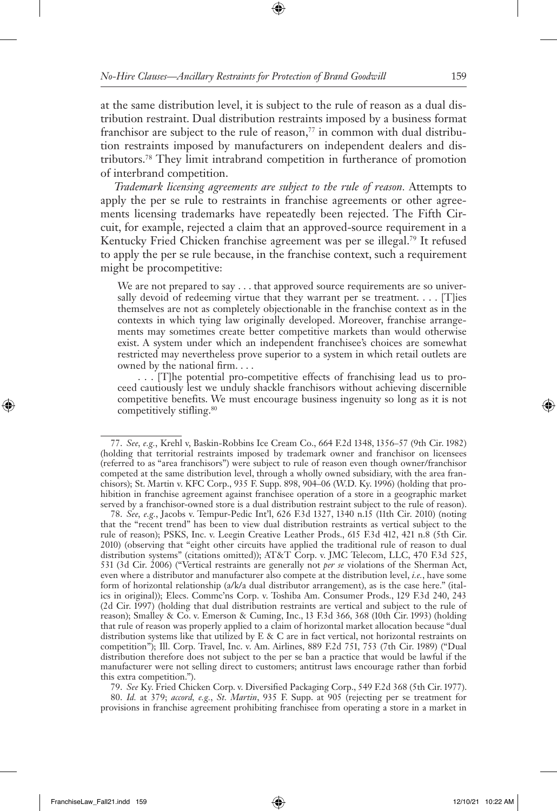at the same distribution level, it is subject to the rule of reason as a dual distribution restraint. Dual distribution restraints imposed by a business format franchisor are subject to the rule of reason,<sup>77</sup> in common with dual distribution restraints imposed by manufacturers on independent dealers and distributors.78 They limit intrabrand competition in furtherance of promotion of interbrand competition.

*Trademark licensing agreements are subject to the rule of reason.* Attempts to apply the per se rule to restraints in franchise agreements or other agreements licensing trademarks have repeatedly been rejected. The Fifth Circuit, for example, rejected a claim that an approved-source requirement in a Kentucky Fried Chicken franchise agreement was per se illegal.<sup>79</sup> It refused to apply the per se rule because, in the franchise context, such a requirement might be procompetitive:

We are not prepared to say . . . that approved source requirements are so universally devoid of redeeming virtue that they warrant per se treatment.  $\dots$  [T]ies themselves are not as completely objectionable in the franchise context as in the contexts in which tying law originally developed. Moreover, franchise arrangements may sometimes create better competitive markets than would otherwise exist. A system under which an independent franchisee's choices are somewhat restricted may nevertheless prove superior to a system in which retail outlets are owned by the national firm. . . .

. . . [T]he potential pro-competitive effects of franchising lead us to proceed cautiously lest we unduly shackle franchisors without achieving discernible competitive benefits. We must encourage business ingenuity so long as it is not competitively stifling.<sup>80</sup>

78. *See, e.g.*, Jacobs v. Tempur-Pedic Int'l, 626 F.3d 1327, 1340 n.15 (11th Cir. 2010) (noting that the "recent trend" has been to view dual distribution restraints as vertical subject to the rule of reason); PSKS, Inc. v. Leegin Creative Leather Prods., 615 F.3d 412, 421 n.8 (5th Cir. 2010) (observing that "eight other circuits have applied the traditional rule of reason to dual distribution systems" (citations omitted)); AT&T Corp. v. JMC Telecom, LLC, 470 F.3d 525, 531 (3d Cir. 2006) ("Vertical restraints are generally not *per se* violations of the Sherman Act, even where a distributor and manufacturer also compete at the distribution level, *i.e.*, have some form of horizontal relationship (a/k/a dual distributor arrangement), as is the case here." (italics in original)); Elecs. Commc'ns Corp. v. Toshiba Am. Consumer Prods., 129 F.3d 240, 243 (2d Cir. 1997) (holding that dual distribution restraints are vertical and subject to the rule of reason); Smalley & Co. v. Emerson & Cuming, Inc., 13 F.3d 366, 368 (10th Cir. 1993) (holding that rule of reason was properly applied to a claim of horizontal market allocation because "dual distribution systems like that utilized by E & C are in fact vertical, not horizontal restraints on competition"); Ill. Corp. Travel, Inc. v. Am. Airlines, 889 F.2d 751, 753 (7th Cir. 1989) ("Dual distribution therefore does not subject to the per se ban a practice that would be lawful if the manufacturer were not selling direct to customers; antitrust laws encourage rather than forbid this extra competition.").

79. *See* Ky. Fried Chicken Corp. v. Diversified Packaging Corp., 549 F.2d 368 (5th Cir. 1977).

80. *Id.* at 379; *accord, e.g.*, *St. Martin*, 935 F. Supp. at 905 (rejecting per se treatment for provisions in franchise agreement prohibiting franchisee from operating a store in a market in

<sup>77.</sup> *See, e.g.*, Krehl v, Baskin-Robbins Ice Cream Co., 664 F.2d 1348, 1356–57 (9th Cir. 1982) (holding that territorial restraints imposed by trademark owner and franchisor on licensees (referred to as "area franchisors") were subject to rule of reason even though owner/franchisor competed at the same distribution level, through a wholly owned subsidiary, with the area franchisors); St. Martin v. KFC Corp., 935 F. Supp. 898, 904–06 (W.D. Ky. 1996) (holding that prohibition in franchise agreement against franchisee operation of a store in a geographic market served by a franchisor-owned store is a dual distribution restraint subject to the rule of reason).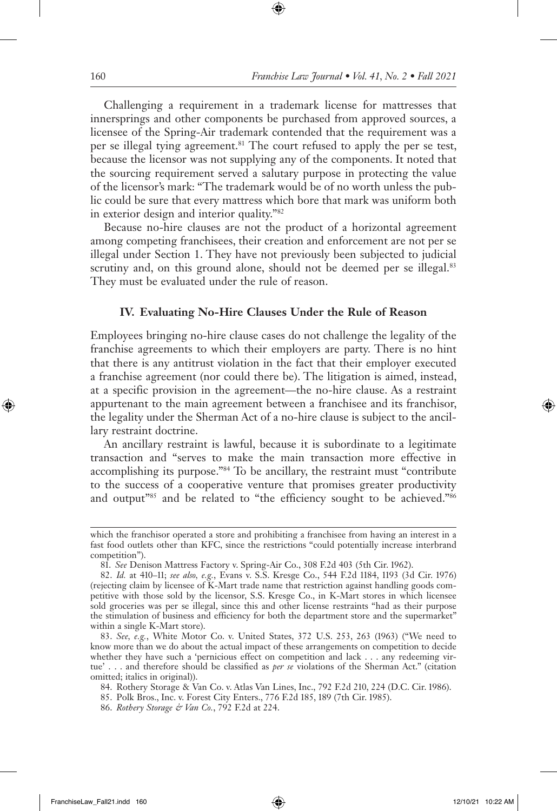Challenging a requirement in a trademark license for mattresses that innersprings and other components be purchased from approved sources, a licensee of the Spring-Air trademark contended that the requirement was a per se illegal tying agreement.<sup>81</sup> The court refused to apply the per se test, because the licensor was not supplying any of the components. It noted that the sourcing requirement served a salutary purpose in protecting the value of the licensor's mark: "The trademark would be of no worth unless the public could be sure that every mattress which bore that mark was uniform both in exterior design and interior quality."82

Because no-hire clauses are not the product of a horizontal agreement among competing franchisees, their creation and enforcement are not per se illegal under Section 1. They have not previously been subjected to judicial scrutiny and, on this ground alone, should not be deemed per se illegal.<sup>83</sup> They must be evaluated under the rule of reason.

#### **IV. Evaluating No-Hire Clauses Under the Rule of Reason**

Employees bringing no-hire clause cases do not challenge the legality of the franchise agreements to which their employers are party. There is no hint that there is any antitrust violation in the fact that their employer executed a franchise agreement (nor could there be). The litigation is aimed, instead, at a specific provision in the agreement—the no-hire clause. As a restraint appurtenant to the main agreement between a franchisee and its franchisor, the legality under the Sherman Act of a no-hire clause is subject to the ancillary restraint doctrine.

An ancillary restraint is lawful, because it is subordinate to a legitimate transaction and "serves to make the main transaction more effective in accomplishing its purpose."84 To be ancillary, the restraint must "contribute to the success of a cooperative venture that promises greater productivity and output"85 and be related to "the efficiency sought to be achieved."86

which the franchisor operated a store and prohibiting a franchisee from having an interest in a fast food outlets other than KFC, since the restrictions "could potentially increase interbrand competition").

<sup>81.</sup> *See* Denison Mattress Factory v. Spring-Air Co., 308 F.2d 403 (5th Cir. 1962).

<sup>82.</sup> *Id.* at 410–11; *see also, e.g.*, Evans v. S.S. Kresge Co., 544 F.2d 1184, 1193 (3d Cir. 1976) (rejecting claim by licensee of K-Mart trade name that restriction against handling goods competitive with those sold by the licensor, S.S. Kresge Co., in K-Mart stores in which licensee sold groceries was per se illegal, since this and other license restraints "had as their purpose the stimulation of business and efficiency for both the department store and the supermarket" within a single K-Mart store).

<sup>83.</sup> *See, e.g.*, White Motor Co. v. United States, 372 U.S. 253, 263 (1963) ("We need to know more than we do about the actual impact of these arrangements on competition to decide whether they have such a 'pernicious effect on competition and lack . . . any redeeming virtue' . . . and therefore should be classified as *per se* violations of the Sherman Act." (citation omitted; italics in original)).

<sup>84.</sup> Rothery Storage & Van Co. v. Atlas Van Lines, Inc., 792 F.2d 210, 224 (D.C. Cir. 1986).

<sup>85.</sup> Polk Bros., Inc. v. Forest City Enters., 776 F.2d 185, 189 (7th Cir. 1985).

<sup>86.</sup> *Rothery Storage & Van Co.*, 792 F.2d at 224.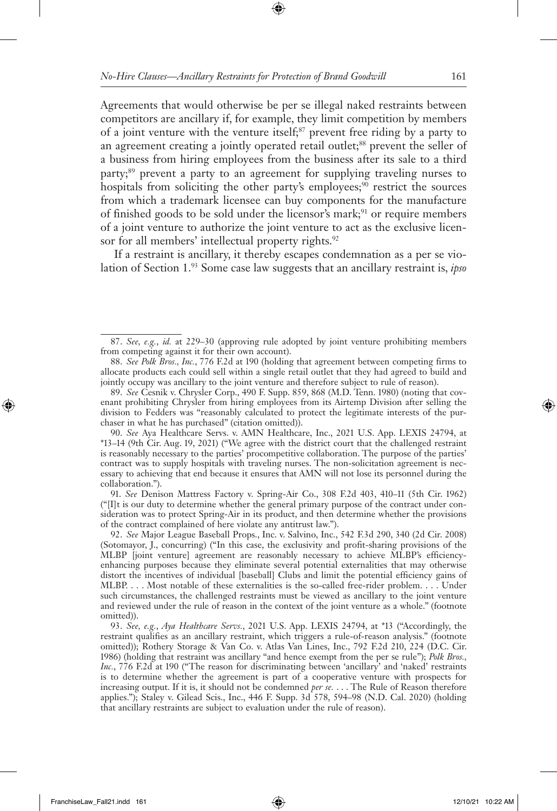Agreements that would otherwise be per se illegal naked restraints between competitors are ancillary if, for example, they limit competition by members of a joint venture with the venture itself;87 prevent free riding by a party to an agreement creating a jointly operated retail outlet;<sup>88</sup> prevent the seller of a business from hiring employees from the business after its sale to a third party;<sup>89</sup> prevent a party to an agreement for supplying traveling nurses to hospitals from soliciting the other party's employees;<sup>90</sup> restrict the sources from which a trademark licensee can buy components for the manufacture of finished goods to be sold under the licensor's mark;<sup>91</sup> or require members of a joint venture to authorize the joint venture to act as the exclusive licensor for all members' intellectual property rights.<sup>92</sup>

If a restraint is ancillary, it thereby escapes condemnation as a per se violation of Section 1.93 Some case law suggests that an ancillary restraint is, *ipso* 

91. *See* Denison Mattress Factory v. Spring-Air Co., 308 F.2d 403, 410–11 (5th Cir. 1962) ("[I]t is our duty to determine whether the general primary purpose of the contract under consideration was to protect Spring-Air in its product, and then determine whether the provisions of the contract complained of here violate any antitrust law.").

92. *See* Major League Baseball Props., Inc. v. Salvino, Inc., 542 F.3d 290, 340 (2d Cir. 2008) (Sotomayor, J., concurring) ("In this case, the exclusivity and profit-sharing provisions of the MLBP [joint venture] agreement are reasonably necessary to achieve MLBP's efficiencyenhancing purposes because they eliminate several potential externalities that may otherwise distort the incentives of individual [baseball] Clubs and limit the potential efficiency gains of MLBP. . . . Most notable of these externalities is the so-called free-rider problem. . . . Under such circumstances, the challenged restraints must be viewed as ancillary to the joint venture and reviewed under the rule of reason in the context of the joint venture as a whole." (footnote omitted)).

93. *See, e.g.*, *Aya Healthcare Servs.*, 2021 U.S. App. LEXIS 24794, at \*13 ("Accordingly, the restraint qualifies as an ancillary restraint, which triggers a rule-of-reason analysis." (footnote omitted)); Rothery Storage & Van Co. v. Atlas Van Lines, Inc., 792 F.2d 210, 224 (D.C. Cir. 1986) (holding that restraint was ancillary "and hence exempt from the per se rule"); *Polk Bros., Inc.*, 776 F.2d at 190 ("The reason for discriminating between 'ancillary' and 'naked' restraints is to determine whether the agreement is part of a cooperative venture with prospects for increasing output. If it is, it should not be condemned *per se.* . . . The Rule of Reason therefore applies."); Staley v. Gilead Scis., Inc., 446 F. Supp. 3d 578, 594–98 (N.D. Cal. 2020) (holding that ancillary restraints are subject to evaluation under the rule of reason).

<sup>87.</sup> *See, e.g.*, *id.* at 229–30 (approving rule adopted by joint venture prohibiting members from competing against it for their own account).

<sup>88.</sup> *See Polk Bros., Inc.*, 776 F.2d at 190 (holding that agreement between competing firms to allocate products each could sell within a single retail outlet that they had agreed to build and jointly occupy was ancillary to the joint venture and therefore subject to rule of reason).

<sup>89.</sup> *See* Cesnik v. Chrysler Corp., 490 F. Supp. 859, 868 (M.D. Tenn. 1980) (noting that covenant prohibiting Chrysler from hiring employees from its Airtemp Division after selling the division to Fedders was "reasonably calculated to protect the legitimate interests of the purchaser in what he has purchased" (citation omitted)).

<sup>90.</sup> *See* Aya Healthcare Servs. v. AMN Healthcare, Inc., 2021 U.S. App. LEXIS 24794, at \*13–14 (9th Cir. Aug. 19, 2021) ("We agree with the district court that the challenged restraint is reasonably necessary to the parties' procompetitive collaboration. The purpose of the parties' contract was to supply hospitals with traveling nurses. The non-solicitation agreement is necessary to achieving that end because it ensures that AMN will not lose its personnel during the collaboration.").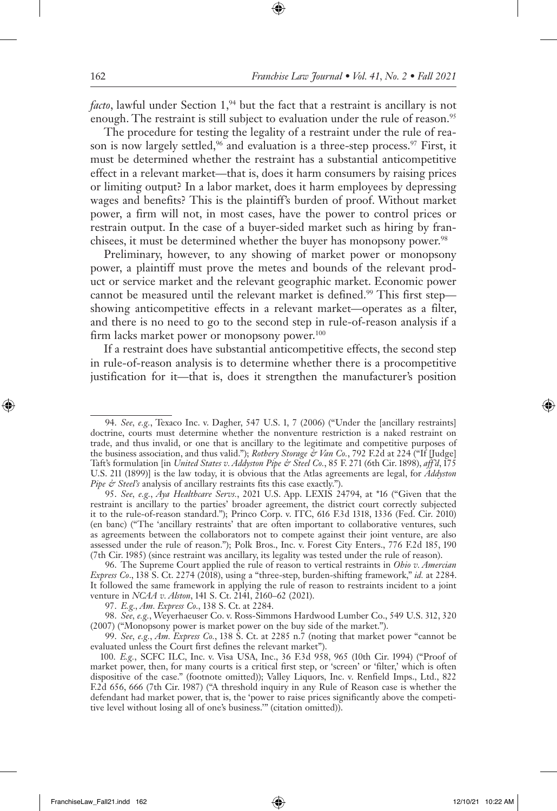*facto*, lawful under Section 1,<sup>94</sup> but the fact that a restraint is ancillary is not enough. The restraint is still subject to evaluation under the rule of reason.<sup>95</sup>

The procedure for testing the legality of a restraint under the rule of reason is now largely settled,<sup>96</sup> and evaluation is a three-step process.<sup>97</sup> First, it must be determined whether the restraint has a substantial anticompetitive effect in a relevant market—that is, does it harm consumers by raising prices or limiting output? In a labor market, does it harm employees by depressing wages and benefits? This is the plaintiff's burden of proof. Without market power, a firm will not, in most cases, have the power to control prices or restrain output. In the case of a buyer-sided market such as hiring by franchisees, it must be determined whether the buyer has monopsony power.<sup>98</sup>

Preliminary, however, to any showing of market power or monopsony power, a plaintiff must prove the metes and bounds of the relevant product or service market and the relevant geographic market. Economic power cannot be measured until the relevant market is defined.<sup>99</sup> This first stepshowing anticompetitive effects in a relevant market—operates as a filter, and there is no need to go to the second step in rule-of-reason analysis if a firm lacks market power or monopsony power.<sup>100</sup>

If a restraint does have substantial anticompetitive effects, the second step in rule-of-reason analysis is to determine whether there is a procompetitive justification for it—that is, does it strengthen the manufacturer's position

<sup>94.</sup> *See, e.g.*, Texaco Inc. v. Dagher, 547 U.S. 1, 7 (2006) ("Under the [ancillary restraints] doctrine, courts must determine whether the nonventure restriction is a naked restraint on trade, and thus invalid, or one that is ancillary to the legitimate and competitive purposes of the business association, and thus valid."); *Rothery Storage & Van Co.*, 792 F.2d at 224 ("If [Judge] Taft's formulation [in *United States v. Addyston Pipe & Steel Co.*, 85 F. 271 (6th Cir. 1898), *aff'd*, 175 U.S. 211 (1899)] is the law today, it is obvious that the Atlas agreements are legal, for *Addyston Pipe & Steel's* analysis of ancillary restraints fits this case exactly.").

<sup>95.</sup> *See, e.g.*, *Aya Healthcare Servs.*, 2021 U.S. App. LEXIS 24794, at \*16 ("Given that the restraint is ancillary to the parties' broader agreement, the district court correctly subjected it to the rule-of-reason standard."); Princo Corp. v. ITC, 616 F.3d 1318, 1336 (Fed. Cir. 2010) (en banc) ("The 'ancillary restraints' that are often important to collaborative ventures, such as agreements between the collaborators not to compete against their joint venture, are also assessed under the rule of reason."); Polk Bros., Inc. v. Forest City Enters., 776 F.2d 185, 190 (7th Cir. 1985) (since restraint was ancillary, its legality was tested under the rule of reason).

<sup>96.</sup> The Supreme Court applied the rule of reason to vertical restraints in *Ohio v. Amercian Express Co*., 138 S. Ct. 2274 (2018), using a "three-step, burden-shifting framework," *id.* at 2284. It followed the same framework in applying the rule of reason to restraints incident to a joint venture in *NCAA v. Alston*, 141 S. Ct. 2141, 2160–62 (2021).

<sup>97.</sup> *E.g., Am. Express Co.,* 138 S. Ct. at 2284.

<sup>98.</sup> *See, e.g.*, Weyerhaeuser Co. v. Ross-Simmons Hardwood Lumber Co., 549 U.S. 312, 320 (2007) ("Monopsony power is market power on the buy side of the market.").

<sup>99.</sup> *See, e.g.*, *Am. Express Co.*, 138 S. Ct. at 2285 n.7 (noting that market power "cannot be evaluated unless the Court first defines the relevant market").

<sup>100.</sup> *E.g.*, SCFC ILC, Inc. v. Visa USA, Inc., 36 F.3d 958, 965 (10th Cir. 1994) ("Proof of market power, then, for many courts is a critical first step, or 'screen' or 'filter,' which is often dispositive of the case." (footnote omitted)); Valley Liquors, Inc. v. Renfield Imps., Ltd., 822 F.2d 656, 666 (7th Cir. 1987) ("A threshold inquiry in any Rule of Reason case is whether the defendant had market power, that is, the 'power to raise prices significantly above the competitive level without losing all of one's business.'" (citation omitted)).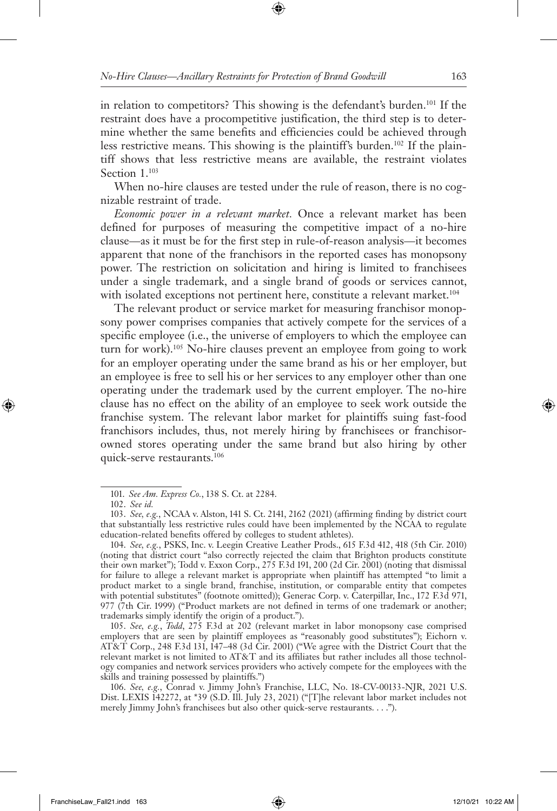in relation to competitors? This showing is the defendant's burden.101 If the restraint does have a procompetitive justification, the third step is to determine whether the same benefits and efficiencies could be achieved through less restrictive means. This showing is the plaintiff's burden.102 If the plaintiff shows that less restrictive means are available, the restraint violates Section 1.<sup>103</sup>

When no-hire clauses are tested under the rule of reason, there is no cognizable restraint of trade.

*Economic power in a relevant market.* Once a relevant market has been defined for purposes of measuring the competitive impact of a no-hire clause—as it must be for the first step in rule-of-reason analysis—it becomes apparent that none of the franchisors in the reported cases has monopsony power. The restriction on solicitation and hiring is limited to franchisees under a single trademark, and a single brand of goods or services cannot, with isolated exceptions not pertinent here, constitute a relevant market.<sup>104</sup>

The relevant product or service market for measuring franchisor monopsony power comprises companies that actively compete for the services of a specific employee (i.e., the universe of employers to which the employee can turn for work).105 No-hire clauses prevent an employee from going to work for an employer operating under the same brand as his or her employer, but an employee is free to sell his or her services to any employer other than one operating under the trademark used by the current employer. The no-hire clause has no effect on the ability of an employee to seek work outside the franchise system. The relevant labor market for plaintiffs suing fast-food franchisors includes, thus, not merely hiring by franchisees or franchisorowned stores operating under the same brand but also hiring by other quick-serve restaurants.106

105. *See, e.g.*, *Todd*, 275 F.3d at 202 (relevant market in labor monopsony case comprised employers that are seen by plaintiff employees as "reasonably good substitutes"); Eichorn v. AT&T Corp., 248 F.3d 131, 147–48 (3d Cir. 2001) ("We agree with the District Court that the relevant market is not limited to AT&T and its affiliates but rather includes all those technology companies and network services providers who actively compete for the employees with the skills and training possessed by plaintiffs.")

106. *See, e.g.*, Conrad v. Jimmy John's Franchise, LLC, No. 18-CV-00133-NJR, 2021 U.S. Dist. LEXIS 142272, at \*39 (S.D. Ill. July 23, 2021) ("[T]he relevant labor market includes not merely Jimmy John's franchisees but also other quick-serve restaurants. . . .").

<sup>101.</sup> *See Am. Express Co.*, 138 S. Ct. at 2284.

<sup>102.</sup> *See id.*

<sup>103.</sup> *See, e.g.*, NCAA v. Alston, 141 S. Ct. 2141, 2162 (2021) (affirming finding by district court that substantially less restrictive rules could have been implemented by the NCAA to regulate education-related benefits offered by colleges to student athletes).

<sup>104.</sup> *See, e.g.*, PSKS, Inc. v. Leegin Creative Leather Prods., 615 F.3d 412, 418 (5th Cir. 2010) (noting that district court "also correctly rejected the claim that Brighton products constitute their own market"); Todd v. Exxon Corp., 275 F.3d 191, 200 (2d Cir. 2001) (noting that dismissal for failure to allege a relevant market is appropriate when plaintiff has attempted "to limit a product market to a single brand, franchise, institution, or comparable entity that competes with potential substitutes" (footnote omitted)); Generac Corp. v. Caterpillar, Inc., 172 F.3d 971, 977 (7th Cir. 1999) ("Product markets are not defined in terms of one trademark or another; trademarks simply identify the origin of a product.").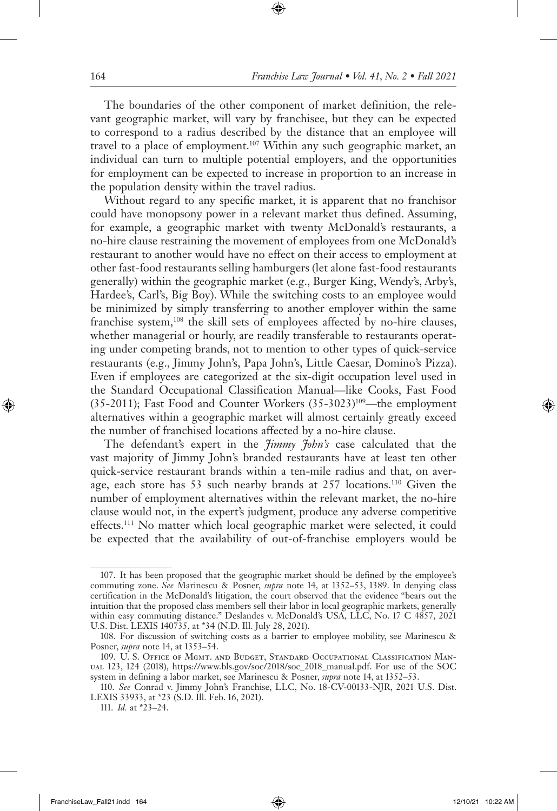The boundaries of the other component of market definition, the relevant geographic market, will vary by franchisee, but they can be expected to correspond to a radius described by the distance that an employee will travel to a place of employment.107 Within any such geographic market, an individual can turn to multiple potential employers, and the opportunities for employment can be expected to increase in proportion to an increase in the population density within the travel radius.

Without regard to any specific market, it is apparent that no franchisor could have monopsony power in a relevant market thus defined. Assuming, for example, a geographic market with twenty McDonald's restaurants, a no-hire clause restraining the movement of employees from one McDonald's restaurant to another would have no effect on their access to employment at other fast-food restaurants selling hamburgers (let alone fast-food restaurants generally) within the geographic market (e.g., Burger King, Wendy's, Arby's, Hardee's, Carl's, Big Boy). While the switching costs to an employee would be minimized by simply transferring to another employer within the same franchise system,<sup>108</sup> the skill sets of employees affected by no-hire clauses, whether managerial or hourly, are readily transferable to restaurants operating under competing brands, not to mention to other types of quick-service restaurants (e.g., Jimmy John's, Papa John's, Little Caesar, Domino's Pizza). Even if employees are categorized at the six-digit occupation level used in the Standard Occupational Classification Manual—like Cooks, Fast Food  $(35-2011)$ ; Fast Food and Counter Workers  $(35-3023)^{109}$ —the employment alternatives within a geographic market will almost certainly greatly exceed the number of franchised locations affected by a no-hire clause.

The defendant's expert in the *Jimmy John's* case calculated that the vast majority of Jimmy John's branded restaurants have at least ten other quick-service restaurant brands within a ten-mile radius and that, on average, each store has 53 such nearby brands at 257 locations.110 Given the number of employment alternatives within the relevant market, the no-hire clause would not, in the expert's judgment, produce any adverse competitive effects.111 No matter which local geographic market were selected, it could be expected that the availability of out-of-franchise employers would be

<sup>107.</sup> It has been proposed that the geographic market should be defined by the employee's commuting zone. *See* Marinescu & Posner, *supra* note 14, at 1352–53, 1389. In denying class certification in the McDonald's litigation, the court observed that the evidence "bears out the intuition that the proposed class members sell their labor in local geographic markets, generally within easy commuting distance." Deslandes v. McDonald's USA, LLC, No. 17 C 4857, 2021 U.S. Dist. LEXIS 140735, at \*34 (N.D. Ill. July 28, 2021).

<sup>108.</sup> For discussion of switching costs as a barrier to employee mobility, see Marinescu & Posner, *supra* note 14, at 1353–54.

<sup>109.</sup> U. S. Office of Mgmt. and Budget, Standard Occupational Classification Manual 123, 124 (2018), https://www.bls.gov/soc/2018/soc\_2018\_manual.pdf. For use of the SOC system in defining a labor market, see Marinescu & Posner, *supra* note 14, at 1352–53.

<sup>110.</sup> *See* Conrad v. Jimmy John's Franchise, LLC, No. 18-CV-00133-NJR, 2021 U.S. Dist. LEXIS 33933, at \*23 (S.D. Ill. Feb. 16, 2021).

<sup>111.</sup> *Id.* at \*23–24.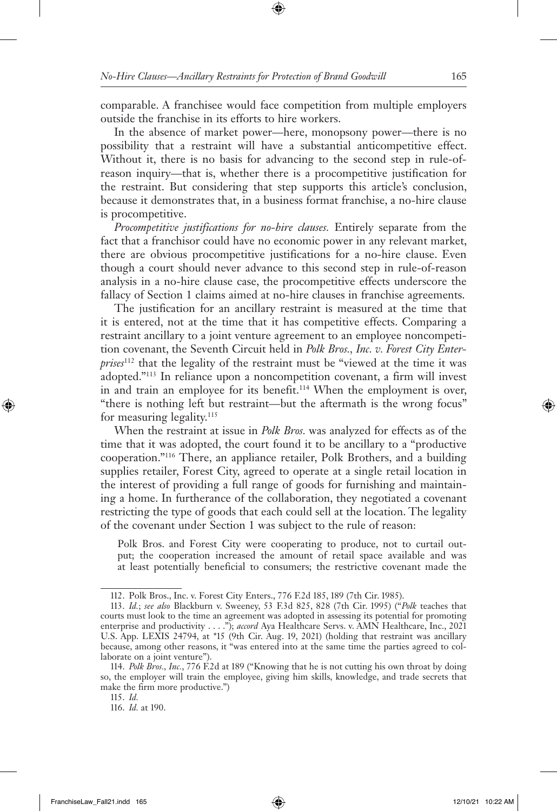comparable. A franchisee would face competition from multiple employers outside the franchise in its efforts to hire workers.

In the absence of market power—here, monopsony power—there is no possibility that a restraint will have a substantial anticompetitive effect. Without it, there is no basis for advancing to the second step in rule-ofreason inquiry—that is, whether there is a procompetitive justification for the restraint. But considering that step supports this article's conclusion, because it demonstrates that, in a business format franchise, a no-hire clause is procompetitive.

*Procompetitive justifications for no-hire clauses.* Entirely separate from the fact that a franchisor could have no economic power in any relevant market, there are obvious procompetitive justifications for a no-hire clause. Even though a court should never advance to this second step in rule-of-reason analysis in a no-hire clause case, the procompetitive effects underscore the fallacy of Section 1 claims aimed at no-hire clauses in franchise agreements.

The justification for an ancillary restraint is measured at the time that it is entered, not at the time that it has competitive effects. Comparing a restraint ancillary to a joint venture agreement to an employee noncompetition covenant, the Seventh Circuit held in *Polk Bros., Inc. v. Forest City Enterprises*112 that the legality of the restraint must be "viewed at the time it was adopted."113 In reliance upon a noncompetition covenant, a firm will invest in and train an employee for its benefit.<sup>114</sup> When the employment is over, "there is nothing left but restraint—but the aftermath is the wrong focus" for measuring legality.<sup>115</sup>

When the restraint at issue in *Polk Bros.* was analyzed for effects as of the time that it was adopted, the court found it to be ancillary to a "productive cooperation."116 There, an appliance retailer, Polk Brothers, and a building supplies retailer, Forest City, agreed to operate at a single retail location in the interest of providing a full range of goods for furnishing and maintaining a home. In furtherance of the collaboration, they negotiated a covenant restricting the type of goods that each could sell at the location. The legality of the covenant under Section 1 was subject to the rule of reason:

Polk Bros. and Forest City were cooperating to produce, not to curtail output; the cooperation increased the amount of retail space available and was at least potentially beneficial to consumers; the restrictive covenant made the

<sup>112.</sup> Polk Bros., Inc. v. Forest City Enters., 776 F.2d 185, 189 (7th Cir. 1985).

<sup>113.</sup> *Id.*; *see also* Blackburn v. Sweeney, 53 F.3d 825, 828 (7th Cir. 1995) ("*Polk* teaches that courts must look to the time an agreement was adopted in assessing its potential for promoting enterprise and productivity . . . ."); *accord* Aya Healthcare Servs. v. AMN Healthcare, Inc., 2021 U.S. App. LEXIS 24794, at \*15 (9th Cir. Aug. 19, 2021) (holding that restraint was ancillary because, among other reasons, it "was entered into at the same time the parties agreed to collaborate on a joint venture").

<sup>114.</sup> *Polk Bros., Inc.*, 776 F.2d at 189 ("Knowing that he is not cutting his own throat by doing so, the employer will train the employee, giving him skills, knowledge, and trade secrets that make the firm more productive.")

<sup>115.</sup> *Id.* 

<sup>116.</sup> *Id.* at 190.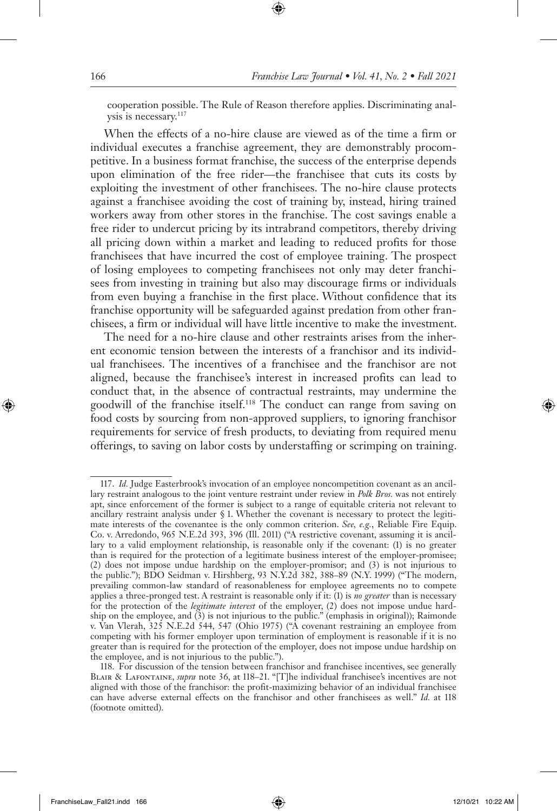cooperation possible. The Rule of Reason therefore applies. Discriminating analysis is necessary.117

When the effects of a no-hire clause are viewed as of the time a firm or individual executes a franchise agreement, they are demonstrably procompetitive. In a business format franchise, the success of the enterprise depends upon elimination of the free rider—the franchisee that cuts its costs by exploiting the investment of other franchisees. The no-hire clause protects against a franchisee avoiding the cost of training by, instead, hiring trained workers away from other stores in the franchise. The cost savings enable a free rider to undercut pricing by its intrabrand competitors, thereby driving all pricing down within a market and leading to reduced profits for those franchisees that have incurred the cost of employee training. The prospect of losing employees to competing franchisees not only may deter franchisees from investing in training but also may discourage firms or individuals from even buying a franchise in the first place. Without confidence that its franchise opportunity will be safeguarded against predation from other franchisees, a firm or individual will have little incentive to make the investment.

The need for a no-hire clause and other restraints arises from the inherent economic tension between the interests of a franchisor and its individual franchisees. The incentives of a franchisee and the franchisor are not aligned, because the franchisee's interest in increased profits can lead to conduct that, in the absence of contractual restraints, may undermine the goodwill of the franchise itself.118 The conduct can range from saving on food costs by sourcing from non-approved suppliers, to ignoring franchisor requirements for service of fresh products, to deviating from required menu offerings, to saving on labor costs by understaffing or scrimping on training.

<sup>117.</sup> *Id.* Judge Easterbrook's invocation of an employee noncompetition covenant as an ancillary restraint analogous to the joint venture restraint under review in *Polk Bros.* was not entirely apt, since enforcement of the former is subject to a range of equitable criteria not relevant to ancillary restraint analysis under § 1. Whether the covenant is necessary to protect the legitimate interests of the covenantee is the only common criterion. *See, e.g.*, Reliable Fire Equip. Co. v. Arredondo, 965 N.E.2d 393, 396 (Ill. 2011) ("A restrictive covenant, assuming it is ancillary to a valid employment relationship, is reasonable only if the covenant: (1) is no greater than is required for the protection of a legitimate business interest of the employer-promisee; (2) does not impose undue hardship on the employer-promisor; and (3) is not injurious to the public."); BDO Seidman v. Hirshberg, 93 N.Y.2d 382, 388–89 (N.Y. 1999) ("The modern, prevailing common-law standard of reasonableness for employee agreements no to compete applies a three-pronged test. A restraint is reasonable only if it: (1) is *no greater* than is necessary for the protection of the *legitimate interest* of the employer, (2) does not impose undue hardship on the employee, and (3) is not injurious to the public." (emphasis in original)); Raimonde v. Van Vlerah, 325 N.E.2d 544, 547 (Ohio 1975) ("A covenant restraining an employee from competing with his former employer upon termination of employment is reasonable if it is no greater than is required for the protection of the employer, does not impose undue hardship on the employee, and is not injurious to the public.").

<sup>118.</sup> For discussion of the tension between franchisor and franchisee incentives, see generally Blair & Lafontaine, *supra* note 36, at 118–21. "[T]he individual franchisee's incentives are not aligned with those of the franchisor: the profit-maximizing behavior of an individual franchisee can have adverse external effects on the franchisor and other franchisees as well." *Id.* at 118 (footnote omitted).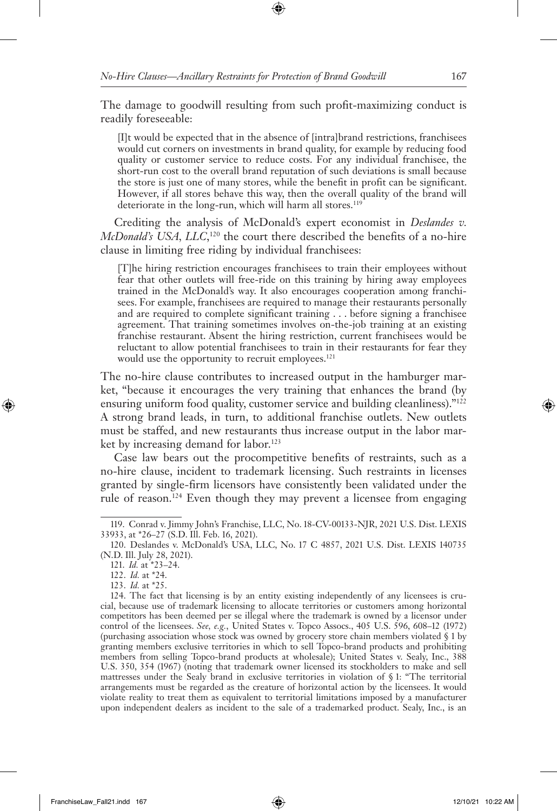The damage to goodwill resulting from such profit-maximizing conduct is readily foreseeable:

[I]t would be expected that in the absence of [intra]brand restrictions, franchisees would cut corners on investments in brand quality, for example by reducing food quality or customer service to reduce costs. For any individual franchisee, the short-run cost to the overall brand reputation of such deviations is small because the store is just one of many stores, while the benefit in profit can be significant. However, if all stores behave this way, then the overall quality of the brand will deteriorate in the long-run, which will harm all stores.<sup>119</sup>

Crediting the analysis of McDonald's expert economist in *Deslandes v. McDonald's USA, LLC*,<sup>120</sup> the court there described the benefits of a no-hire clause in limiting free riding by individual franchisees:

[T]he hiring restriction encourages franchisees to train their employees without fear that other outlets will free-ride on this training by hiring away employees trained in the McDonald's way. It also encourages cooperation among franchisees. For example, franchisees are required to manage their restaurants personally and are required to complete significant training . . . before signing a franchisee agreement. That training sometimes involves on-the-job training at an existing franchise restaurant. Absent the hiring restriction, current franchisees would be reluctant to allow potential franchisees to train in their restaurants for fear they would use the opportunity to recruit employees.<sup>121</sup>

The no-hire clause contributes to increased output in the hamburger market, "because it encourages the very training that enhances the brand (by ensuring uniform food quality, customer service and building cleanliness)."<sup>122</sup> A strong brand leads, in turn, to additional franchise outlets. New outlets must be staffed, and new restaurants thus increase output in the labor market by increasing demand for labor.<sup>123</sup>

Case law bears out the procompetitive benefits of restraints, such as a no-hire clause, incident to trademark licensing. Such restraints in licenses granted by single-firm licensors have consistently been validated under the rule of reason.124 Even though they may prevent a licensee from engaging

<sup>119.</sup> Conrad v. Jimmy John's Franchise, LLC, No. 18-CV-00133-NJR, 2021 U.S. Dist. LEXIS 33933, at \*26–27 (S.D. Ill. Feb. 16, 2021).

<sup>120.</sup> Deslandes v. McDonald's USA, LLC, No. 17 C 4857, 2021 U.S. Dist. LEXIS 140735 (N.D. Ill. July 28, 2021).

<sup>121.</sup> *Id.* at \*23–24.

<sup>122.</sup> *Id.* at \*24.

<sup>123.</sup> *Id.* at \*25.

<sup>124.</sup> The fact that licensing is by an entity existing independently of any licensees is crucial, because use of trademark licensing to allocate territories or customers among horizontal competitors has been deemed per se illegal where the trademark is owned by a licensor under control of the licensees. *See, e.g.*, United States v. Topco Assocs., 405 U.S. 596, 608–12 (1972) (purchasing association whose stock was owned by grocery store chain members violated § 1 by granting members exclusive territories in which to sell Topco-brand products and prohibiting members from selling Topco-brand products at wholesale); United States v. Sealy, Inc., 388 U.S. 350, 354 (1967) (noting that trademark owner licensed its stockholders to make and sell mattresses under the Sealy brand in exclusive territories in violation of § 1: "The territorial arrangements must be regarded as the creature of horizontal action by the licensees. It would violate reality to treat them as equivalent to territorial limitations imposed by a manufacturer upon independent dealers as incident to the sale of a trademarked product. Sealy, Inc., is an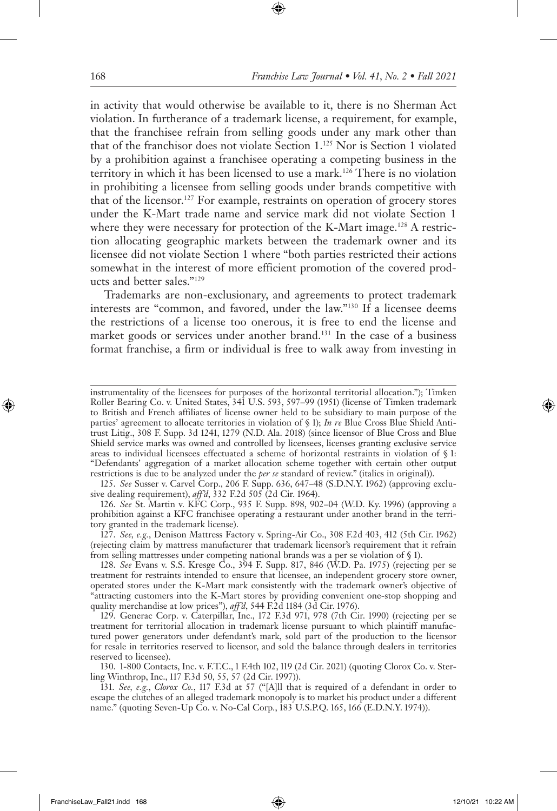in activity that would otherwise be available to it, there is no Sherman Act violation. In furtherance of a trademark license, a requirement, for example, that the franchisee refrain from selling goods under any mark other than that of the franchisor does not violate Section 1.125 Nor is Section 1 violated by a prohibition against a franchisee operating a competing business in the territory in which it has been licensed to use a mark.126 There is no violation in prohibiting a licensee from selling goods under brands competitive with that of the licensor.127 For example, restraints on operation of grocery stores under the K-Mart trade name and service mark did not violate Section 1 where they were necessary for protection of the K-Mart image.<sup>128</sup> A restriction allocating geographic markets between the trademark owner and its licensee did not violate Section 1 where "both parties restricted their actions somewhat in the interest of more efficient promotion of the covered products and better sales."129

Trademarks are non-exclusionary, and agreements to protect trademark interests are "common, and favored, under the law."130 If a licensee deems the restrictions of a license too onerous, it is free to end the license and market goods or services under another brand.<sup>131</sup> In the case of a business format franchise, a firm or individual is free to walk away from investing in

126. *See* St. Martin v. KFC Corp., 935 F. Supp. 898, 902–04 (W.D. Ky. 1996) (approving a prohibition against a KFC franchisee operating a restaurant under another brand in the territory granted in the trademark license).

127. *See, e.g.*, Denison Mattress Factory v. Spring-Air Co., 308 F.2d 403, 412 (5th Cir. 1962) (rejecting claim by mattress manufacturer that trademark licensor's requirement that it refrain from selling mattresses under competing national brands was a per se violation of § 1).

130. 1-800 Contacts, Inc. v. F.T.C., 1 F.4th 102, 119 (2d Cir. 2021) (quoting Clorox Co. v. Sterling Winthrop, Inc., 117 F.3d 50, 55, 57 (2d Cir. 1997)).

131. *See, e.g.*, *Clorox Co.*, 117 F.3d at 57 ("[A]ll that is required of a defendant in order to escape the clutches of an alleged trademark monopoly is to market his product under a different name." (quoting Seven-Up Co. v. No-Cal Corp*.*, 183 U.S.P.Q. 165, 166 (E.D.N.Y. 1974)).

instrumentality of the licensees for purposes of the horizontal territorial allocation."); Timken Roller Bearing Co. v. United States, 341 U.S. 593, 597–99 (1951) (license of Timken trademark to British and French affiliates of license owner held to be subsidiary to main purpose of the parties' agreement to allocate territories in violation of § 1); *In re* Blue Cross Blue Shield Antitrust Litig., 308 F. Supp. 3d 1241, 1279 (N.D. Ala. 2018) (since licensor of Blue Cross and Blue Shield service marks was owned and controlled by licensees, licenses granting exclusive service areas to individual licensees effectuated a scheme of horizontal restraints in violation of § 1: "Defendants' aggregation of a market allocation scheme together with certain other output restrictions is due to be analyzed under the *per se* standard of review." (italics in original)).

<sup>125.</sup> *See* Susser v. Carvel Corp., 206 F. Supp. 636, 647–48 (S.D.N.Y. 1962) (approving exclusive dealing requirement), *aff'd*, 332 F.2d 505 (2d Cir. 1964).

<sup>128.</sup> *See* Evans v. S.S. Kresge Co., 394 F. Supp. 817, 846 (W.D. Pa. 1975) (rejecting per se treatment for restraints intended to ensure that licensee, an independent grocery store owner, operated stores under the K-Mart mark consistently with the trademark owner's objective of "attracting customers into the K-Mart stores by providing convenient one-stop shopping and quality merchandise at low prices"), *aff'd*, 544 F.2d 1184 (3d Cir. 1976).

<sup>129.</sup> Generac Corp. v. Caterpillar, Inc., 172 F.3d 971, 978 (7th Cir. 1990) (rejecting per se treatment for territorial allocation in trademark license pursuant to which plaintiff manufactured power generators under defendant's mark, sold part of the production to the licensor for resale in territories reserved to licensor, and sold the balance through dealers in territories reserved to licensee).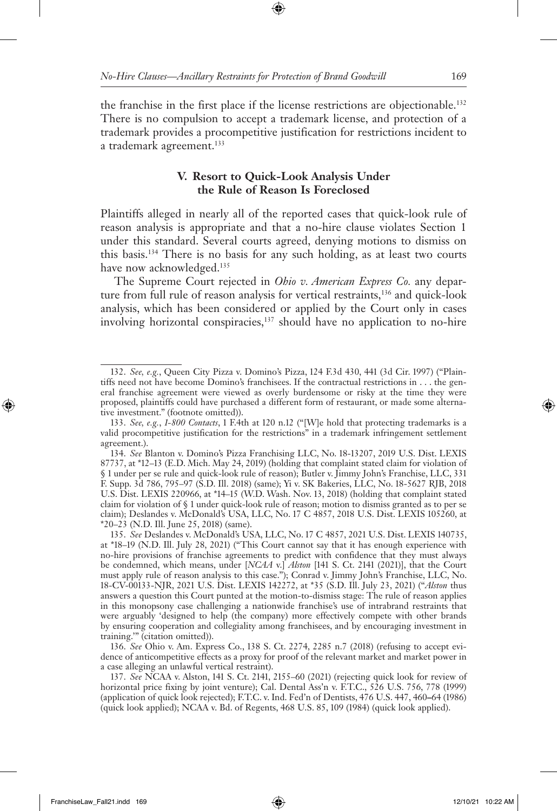the franchise in the first place if the license restrictions are objectionable.132 There is no compulsion to accept a trademark license, and protection of a trademark provides a procompetitive justification for restrictions incident to a trademark agreement.<sup>133</sup>

## **V. Resort to Quick-Look Analysis Under the Rule of Reason Is Foreclosed**

Plaintiffs alleged in nearly all of the reported cases that quick-look rule of reason analysis is appropriate and that a no-hire clause violates Section 1 under this standard. Several courts agreed, denying motions to dismiss on this basis.134 There is no basis for any such holding, as at least two courts have now acknowledged.<sup>135</sup>

The Supreme Court rejected in *Ohio v. American Express Co.* any departure from full rule of reason analysis for vertical restraints,<sup>136</sup> and quick-look analysis, which has been considered or applied by the Court only in cases involving horizontal conspiracies,<sup>137</sup> should have no application to no-hire

136. *See* Ohio v. Am. Express Co., 138 S. Ct. 2274, 2285 n.7 (2018) (refusing to accept evidence of anticompetitive effects as a proxy for proof of the relevant market and market power in a case alleging an unlawful vertical restraint).

137. *See* NCAA v. Alston, 141 S. Ct. 2141, 2155–60 (2021) (rejecting quick look for review of horizontal price fixing by joint venture); Cal. Dental Ass'n v. F.T.C., 526 U.S. 756, 778 (1999) (application of quick look rejected); F.T.C. v. Ind. Fed'n of Dentists, 476 U.S. 447, 460**–**64 (1986) (quick look applied); NCAA v. Bd. of Regents, 468 U.S. 85, 109 (1984) (quick look applied).

<sup>132.</sup> *See, e.g.*, Queen City Pizza v. Domino's Pizza, 124 F.3d 430, 441 (3d Cir. 1997) ("Plaintiffs need not have become Domino's franchisees. If the contractual restrictions in . . . the general franchise agreement were viewed as overly burdensome or risky at the time they were proposed, plaintiffs could have purchased a different form of restaurant, or made some alternative investment." (footnote omitted)).

<sup>133.</sup> *See, e.g.*, *1-800 Contacts*, 1 F.4th at 120 n.12 ("[W]e hold that protecting trademarks is a valid procompetitive justification for the restrictions" in a trademark infringement settlement agreement.).

<sup>134.</sup> *See* Blanton v. Domino's Pizza Franchising LLC, No. 18-13207, 2019 U.S. Dist. LEXIS 87737, at \*12–13 (E.D. Mich. May 24, 2019) (holding that complaint stated claim for violation of § 1 under per se rule and quick-look rule of reason); Butler v. Jimmy John's Franchise, LLC, 331 F. Supp. 3d 786, 795–97 (S.D. Ill. 2018) (same); Yi v. SK Bakeries, LLC, No. 18-5627 RJB, 2018 U.S. Dist. LEXIS 220966, at \*14–15 (W.D. Wash. Nov. 13, 2018) (holding that complaint stated claim for violation of § 1 under quick-look rule of reason; motion to dismiss granted as to per se claim); Deslandes v. McDonald's USA, LLC, No. 17 C 4857, 2018 U.S. Dist. LEXIS 105260, at \*20–23 (N.D. Ill. June 25, 2018) (same).

<sup>135.</sup> *See* Deslandes v. McDonald's USA, LLC, No. 17 C 4857, 2021 U.S. Dist. LEXIS 140735, at \*18–19 (N.D. Ill. July 28, 2021) ("This Court cannot say that it has enough experience with no-hire provisions of franchise agreements to predict with confidence that they must always be condemned, which means, under [*NCAA* v.] *Alston* [141 S. Ct. 2141 (2021)], that the Court must apply rule of reason analysis to this case."); Conrad v. Jimmy John's Franchise, LLC, No. 18-CV-00133-NJR, 2021 U.S. Dist. LEXIS 142272, at \*35 (S.D. Ill. July 23, 2021) ("*Alston* thus answers a question this Court punted at the motion-to-dismiss stage: The rule of reason applies in this monopsony case challenging a nationwide franchise's use of intrabrand restraints that were arguably 'designed to help (the company) more effectively compete with other brands by ensuring cooperation and collegiality among franchisees, and by encouraging investment in training.'" (citation omitted)).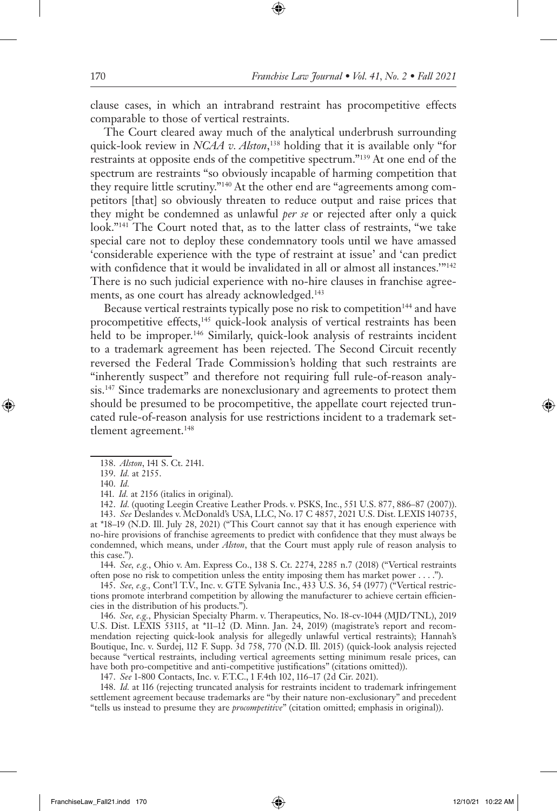clause cases, in which an intrabrand restraint has procompetitive effects comparable to those of vertical restraints.

The Court cleared away much of the analytical underbrush surrounding quick-look review in *NCAA v. Alston*, 138 holding that it is available only "for restraints at opposite ends of the competitive spectrum."139 At one end of the spectrum are restraints "so obviously incapable of harming competition that they require little scrutiny."140 At the other end are "agreements among competitors [that] so obviously threaten to reduce output and raise prices that they might be condemned as unlawful *per se* or rejected after only a quick look."141 The Court noted that, as to the latter class of restraints, "we take special care not to deploy these condemnatory tools until we have amassed 'considerable experience with the type of restraint at issue' and 'can predict with confidence that it would be invalidated in all or almost all instances."<sup>142</sup> There is no such judicial experience with no-hire clauses in franchise agreements, as one court has already acknowledged.<sup>143</sup>

Because vertical restraints typically pose no risk to competition<sup>144</sup> and have procompetitive effects,<sup>145</sup> quick-look analysis of vertical restraints has been held to be improper.<sup>146</sup> Similarly, quick-look analysis of restraints incident to a trademark agreement has been rejected. The Second Circuit recently reversed the Federal Trade Commission's holding that such restraints are "inherently suspect" and therefore not requiring full rule-of-reason analysis.147 Since trademarks are nonexclusionary and agreements to protect them should be presumed to be procompetitive, the appellate court rejected truncated rule-of-reason analysis for use restrictions incident to a trademark settlement agreement.<sup>148</sup>

142. *Id.* (quoting Leegin Creative Leather Prods. v. PSKS, Inc., 551 U.S. 877, 886-87 (2007)). 143. *See* Deslandes v. McDonald's USA, LLC, No. 17 C 4857, 2021 U.S. Dist. LEXIS 140735, at \*18–19 (N.D. Ill. July 28, 2021) ("This Court cannot say that it has enough experience with no-hire provisions of franchise agreements to predict with confidence that they must always be condemned, which means, under *Alston*, that the Court must apply rule of reason analysis to this case.").

144. *See, e.g.*, Ohio v. Am. Express Co., 138 S. Ct. 2274, 2285 n.7 (2018) ("Vertical restraints often pose no risk to competition unless the entity imposing them has market power . . . .").

145. *See, e.g.,* Cont'l T.V., Inc. v. GTE Sylvania Inc., 433 U.S. 36, 54 (1977) ("Vertical restrictions promote interbrand competition by allowing the manufacturer to achieve certain efficiencies in the distribution of his products.").

146. *See, e.g.*, Physician Specialty Pharm. v. Therapeutics, No. 18-cv-1044 (MJD/TNL), 2019 U.S. Dist. LEXIS 53115, at \*11–12 (D. Minn. Jan. 24, 2019) (magistrate's report and recommendation rejecting quick-look analysis for allegedly unlawful vertical restraints); Hannah's Boutique, Inc. v. Surdej, 112 F. Supp. 3d 758, 770 (N.D. Ill. 2015) (quick-look analysis rejected because "vertical restraints, including vertical agreements setting minimum resale prices, can have both pro-competitive and anti-competitive justifications" (citations omitted)).

147. *See* 1-800 Contacts, Inc. v. F.T.C., 1 F.4th 102, 116–17 (2d Cir. 2021).

148. *Id.* at 116 (rejecting truncated analysis for restraints incident to trademark infringement settlement agreement because trademarks are "by their nature non-exclusionary" and precedent "tells us instead to presume they are *procompetitive*" (citation omitted; emphasis in original)).

<sup>138.</sup> *Alston*, 141 S. Ct. 2141.

<sup>139.</sup> *Id.* at 2155.

<sup>140.</sup> *Id.* 

<sup>141.</sup> *Id.* at 2156 (italics in original).